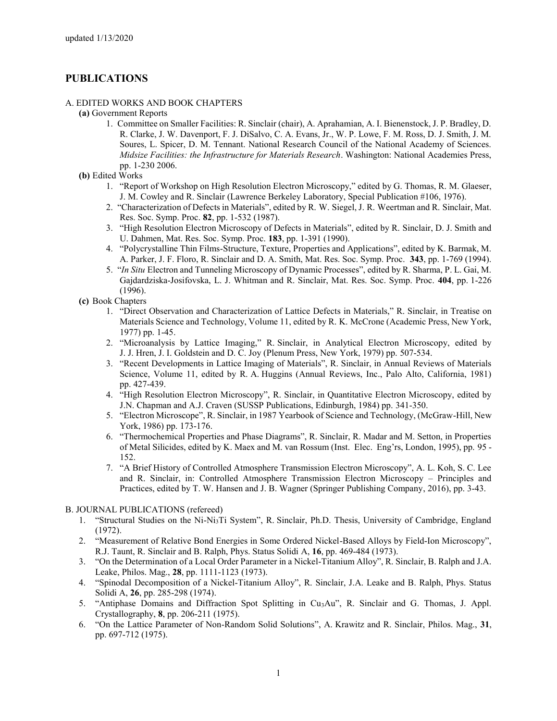## **PUBLICATIONS**

## A. EDITED WORKS AND BOOK CHAPTERS

- **(a)** Government Reports
	- 1. Committee on Smaller Facilities: R. Sinclair (chair), A. Aprahamian, A. I. Bienenstock, J. P. Bradley, D. R. Clarke, J. W. Davenport, F. J. DiSalvo, C. A. Evans, Jr., W. P. Lowe, F. M. Ross, D. J. Smith, J. M. Soures, L. Spicer, D. M. Tennant. National Research Council of the National Academy of Sciences. *Midsize Facilities: the Infrastructure for Materials Research*. Washington: National Academies Press, pp. 1-230 2006.
- **(b)** Edited Works
	- 1. "Report of Workshop on High Resolution Electron Microscopy," edited by G. Thomas, R. M. Glaeser, J. M. Cowley and R. Sinclair (Lawrence Berkeley Laboratory, Special Publication #106, 1976).
	- 2. "Characterization of Defects in Materials", edited by R. W. Siegel, J. R. Weertman and R. Sinclair, Mat. Res. Soc. Symp. Proc. **82**, pp. 1-532 (1987).
	- 3. "High Resolution Electron Microscopy of Defects in Materials", edited by R. Sinclair, D. J. Smith and U. Dahmen, Mat. Res. Soc. Symp. Proc. **183**, pp. 1-391 (1990).
	- 4. "Polycrystalline Thin Films-Structure, Texture, Properties and Applications", edited by K. Barmak, M. A. Parker, J. F. Floro, R. Sinclair and D. A. Smith, Mat. Res. Soc. Symp. Proc. **343**, pp. 1-769 (1994).
	- 5. "*In Situ* Electron and Tunneling Microscopy of Dynamic Processes", edited by R. Sharma, P. L. Gai, M. Gajdardziska-Josifovska, L. J. Whitman and R. Sinclair, Mat. Res. Soc. Symp. Proc. **404**, pp. 1-226 (1996).
- **(c)** Book Chapters
	- 1. "Direct Observation and Characterization of Lattice Defects in Materials," R. Sinclair, in Treatise on Materials Science and Technology, Volume 11, edited by R. K. McCrone (Academic Press, New York, 1977) pp. 1-45.
	- 2. "Microanalysis by Lattice Imaging," R. Sinclair, in Analytical Electron Microscopy, edited by J. J. Hren, J. I. Goldstein and D. C. Joy (Plenum Press, New York, 1979) pp. 507-534.
	- 3. "Recent Developments in Lattice Imaging of Materials", R. Sinclair, in Annual Reviews of Materials Science, Volume 11, edited by R. A. Huggins (Annual Reviews, Inc., Palo Alto, California, 1981) pp. 427-439.
	- 4. "High Resolution Electron Microscopy", R. Sinclair, in Quantitative Electron Microscopy, edited by J.N. Chapman and A.J. Craven (SUSSP Publications, Edinburgh, 1984) pp. 341-350.
	- 5. "Electron Microscope", R. Sinclair, in 1987 Yearbook of Science and Technology, (McGraw-Hill, New York, 1986) pp. 173-176.
	- 6. "Thermochemical Properties and Phase Diagrams", R. Sinclair, R. Madar and M. Setton, in Properties of Metal Silicides, edited by K. Maex and M. van Rossum (Inst. Elec. Eng'rs, London, 1995), pp. 95 - 152.
	- 7. "A Brief History of Controlled Atmosphere Transmission Electron Microscopy", A. L. Koh, S. C. Lee and R. Sinclair, in: Controlled Atmosphere Transmission Electron Microscopy – Principles and Practices, edited by T. W. Hansen and J. B. Wagner (Springer Publishing Company, 2016), pp. 3-43.
- B. JOURNAL PUBLICATIONS (refereed)
	- 1. "Structural Studies on the Ni-Ni3Ti System", R. Sinclair, Ph.D. Thesis, University of Cambridge, England (1972).
	- 2. "Measurement of Relative Bond Energies in Some Ordered Nickel-Based Alloys by Field-Ion Microscopy", R.J. Taunt, R. Sinclair and B. Ralph, Phys. Status Solidi A, **16**, pp. 469-484 (1973).
	- 3. "On the Determination of a Local Order Parameter in a Nickel-Titanium Alloy", R. Sinclair, B. Ralph and J.A. Leake, Philos. Mag., **28**, pp. 1111-1123 (1973).
	- 4. "Spinodal Decomposition of a Nickel-Titanium Alloy", R. Sinclair, J.A. Leake and B. Ralph, Phys. Status Solidi A, **26**, pp. 285-298 (1974).
	- 5. "Antiphase Domains and Diffraction Spot Splitting in Cu3Au", R. Sinclair and G. Thomas, J. Appl. Crystallography, **8**, pp. 206-211 (1975).
	- 6. "On the Lattice Parameter of Non-Random Solid Solutions", A. Krawitz and R. Sinclair, Philos. Mag., **31**, pp. 697-712 (1975).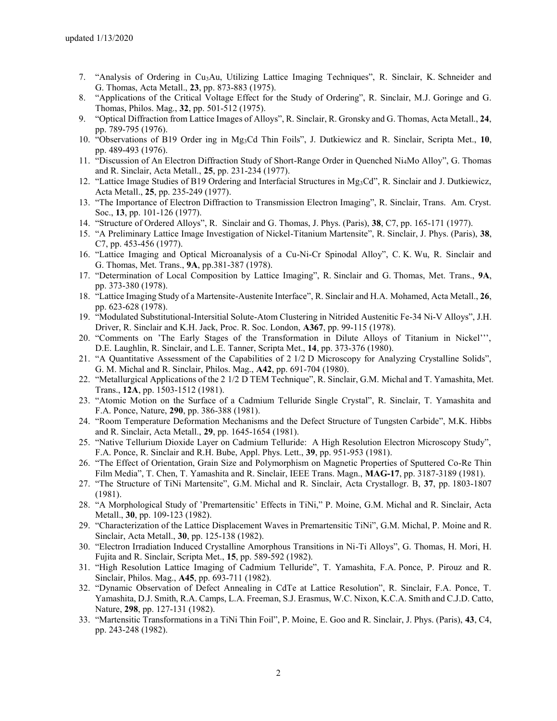- 7. "Analysis of Ordering in Cu3Au, Utilizing Lattice Imaging Techniques", R. Sinclair, K. Schneider and G. Thomas, Acta Metall., **23**, pp. 873-883 (1975).
- 8. "Applications of the Critical Voltage Effect for the Study of Ordering", R. Sinclair, M.J. Goringe and G. Thomas, Philos. Mag., **32**, pp. 501-512 (1975).
- 9. "Optical Diffraction from Lattice Images of Alloys", R. Sinclair, R. Gronsky and G. Thomas, Acta Metall., **24**, pp. 789-795 (1976).
- 10. "Observations of B19 Order ing in Mg3Cd Thin Foils", J. Dutkiewicz and R. Sinclair, Scripta Met., **10**, pp. 489-493 (1976).
- 11. "Discussion of An Electron Diffraction Study of Short-Range Order in Quenched Ni4Mo Alloy", G. Thomas and R. Sinclair, Acta Metall., **25**, pp. 231-234 (1977).
- 12. "Lattice Image Studies of B19 Ordering and Interfacial Structures in Mg3Cd", R. Sinclair and J. Dutkiewicz, Acta Metall., **25**, pp. 235-249 (1977).
- 13. "The Importance of Electron Diffraction to Transmission Electron Imaging", R. Sinclair, Trans. Am. Cryst. Soc., **13**, pp. 101-126 (1977).
- 14. "Structure of Ordered Alloys", R. Sinclair and G. Thomas, J. Phys. (Paris), **38**, C7, pp. 165-171 (1977).
- 15. "A Preliminary Lattice Image Investigation of Nickel-Titanium Martensite", R. Sinclair, J. Phys. (Paris), **38**, C7, pp. 453-456 (1977).
- 16. "Lattice Imaging and Optical Microanalysis of a Cu-Ni-Cr Spinodal Alloy", C. K. Wu, R. Sinclair and G. Thomas, Met. Trans., **9A**, pp.381-387 (1978).
- 17. "Determination of Local Composition by Lattice Imaging", R. Sinclair and G. Thomas, Met. Trans., **9A**, pp. 373-380 (1978).
- 18. "Lattice Imaging Study of a Martensite-Austenite Interface", R. Sinclair and H.A. Mohamed, Acta Metall., **26**, pp. 623-628 (1978).
- 19. "Modulated Substitutional-Intersitial Solute-Atom Clustering in Nitrided Austenitic Fe-34 Ni-V Alloys", J.H. Driver, R. Sinclair and K.H. Jack, Proc. R. Soc. London, **A367**, pp. 99-115 (1978).
- 20. "Comments on 'The Early Stages of the Transformation in Dilute Alloys of Titanium in Nickel''', D.E. Laughlin, R. Sinclair, and L.E. Tanner, Scripta Met., **14**, pp. 373-376 (1980).
- 21. "A Quantitative Assessment of the Capabilities of 2 1/2 D Microscopy for Analyzing Crystalline Solids", G. M. Michal and R. Sinclair, Philos. Mag., **A42**, pp. 691-704 (1980).
- 22. "Metallurgical Applications of the 2 1/2 D TEM Technique", R. Sinclair, G.M. Michal and T. Yamashita, Met. Trans., **12A**, pp. 1503-1512 (1981).
- 23. "Atomic Motion on the Surface of a Cadmium Telluride Single Crystal", R. Sinclair, T. Yamashita and F.A. Ponce, Nature, **290**, pp. 386-388 (1981).
- 24. "Room Temperature Deformation Mechanisms and the Defect Structure of Tungsten Carbide", M.K. Hibbs and R. Sinclair, Acta Metall., **29**, pp. 1645-1654 (1981).
- 25. "Native Tellurium Dioxide Layer on Cadmium Telluride: A High Resolution Electron Microscopy Study", F.A. Ponce, R. Sinclair and R.H. Bube, Appl. Phys. Lett., **39**, pp. 951-953 (1981).
- 26. "The Effect of Orientation, Grain Size and Polymorphism on Magnetic Properties of Sputtered Co-Re Thin Film Media", T. Chen, T. Yamashita and R. Sinclair, IEEE Trans. Magn., **MAG-17**, pp. 3187-3189 (1981).
- 27. "The Structure of TiNi Martensite", G.M. Michal and R. Sinclair, Acta Crystallogr. B, **37**, pp. 1803-1807 (1981).
- 28. "A Morphological Study of 'Premartensitic' Effects in TiNi," P. Moine, G.M. Michal and R. Sinclair, Acta Metall., **30**, pp. 109-123 (1982).
- 29. "Characterization of the Lattice Displacement Waves in Premartensitic TiNi", G.M. Michal, P. Moine and R. Sinclair, Acta Metall., **30**, pp. 125-138 (1982).
- 30. "Electron Irradiation Induced Crystalline Amorphous Transitions in Ni-Ti Alloys", G. Thomas, H. Mori, H. Fujita and R. Sinclair, Scripta Met., **15**, pp. 589-592 (1982).
- 31. "High Resolution Lattice Imaging of Cadmium Telluride", T. Yamashita, F.A. Ponce, P. Pirouz and R. Sinclair, Philos. Mag., **A45**, pp. 693-711 (1982).
- 32. "Dynamic Observation of Defect Annealing in CdTe at Lattice Resolution", R. Sinclair, F.A. Ponce, T. Yamashita, D.J. Smith, R.A. Camps, L.A. Freeman, S.J. Erasmus, W.C. Nixon, K.C.A. Smith and C.J.D. Catto, Nature, **298**, pp. 127-131 (1982).
- 33. "Martensitic Transformations in a TiNi Thin Foil", P. Moine, E. Goo and R. Sinclair, J. Phys. (Paris), **43**, C4, pp. 243-248 (1982).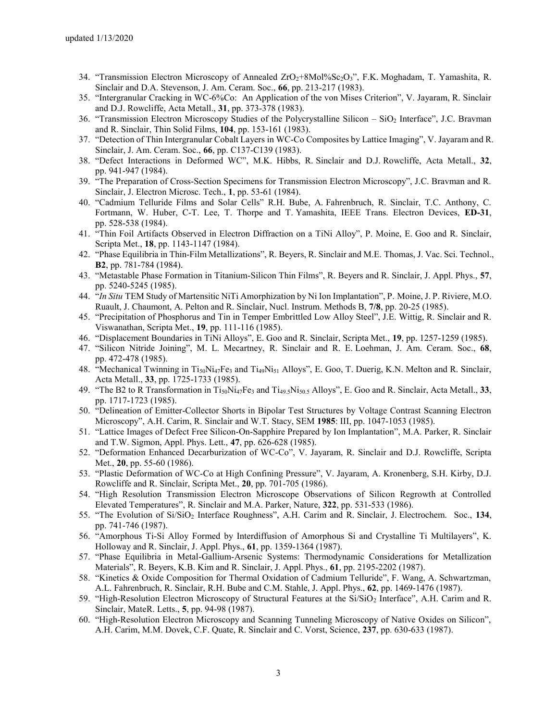- 34. "Transmission Electron Microscopy of Annealed ZrO<sub>2</sub>+8Mol%Sc<sub>2</sub>O<sub>3</sub>", F.K. Moghadam, T. Yamashita, R. Sinclair and D.A. Stevenson, J. Am. Ceram. Soc., **66**, pp. 213-217 (1983).
- 35. "Intergranular Cracking in WC-6%Co: An Application of the von Mises Criterion", V. Jayaram, R. Sinclair and D.J. Rowcliffe, Acta Metall., **31**, pp. 373-378 (1983).
- 36. "Transmission Electron Microscopy Studies of the Polycrystalline Silicon SiO<sup>2</sup> Interface", J.C. Bravman and R. Sinclair, Thin Solid Films, **104**, pp. 153-161 (1983).
- 37. "Detection of Thin Intergranular Cobalt Layers in WC-Co Composites by Lattice Imaging", V. Jayaram and R. Sinclair, J. Am. Ceram. Soc., **66**, pp. C137-C139 (1983).
- 38. "Defect Interactions in Deformed WC", M.K. Hibbs, R. Sinclair and D.J. Rowcliffe, Acta Metall., **32**, pp. 941-947 (1984).
- 39. "The Preparation of Cross-Section Specimens for Transmission Electron Microscopy", J.C. Bravman and R. Sinclair, J. Electron Microsc. Tech., **1**, pp. 53-61 (1984).
- 40. "Cadmium Telluride Films and Solar Cells" R.H. Bube, A. Fahrenbruch, R. Sinclair, T.C. Anthony, C. Fortmann, W. Huber, C-T. Lee, T. Thorpe and T. Yamashita, IEEE Trans. Electron Devices, **ED-31**, pp. 528-538 (1984).
- 41. "Thin Foil Artifacts Observed in Electron Diffraction on a TiNi Alloy", P. Moine, E. Goo and R. Sinclair, Scripta Met., **18**, pp. 1143-1147 (1984).
- 42. "Phase Equilibria in Thin-Film Metallizations", R. Beyers, R. Sinclair and M.E. Thomas, J. Vac. Sci. Technol., **B2**, pp. 781-784 (1984).
- 43. "Metastable Phase Formation in Titanium-Silicon Thin Films", R. Beyers and R. Sinclair, J. Appl. Phys., **57**, pp. 5240-5245 (1985).
- 44. "*In Situ* TEM Study of Martensitic NiTi Amorphization by Ni Ion Implantation", P. Moine, J. P. Riviere, M.O. Ruault, J. Chaumont, A. Pelton and R. Sinclair, Nucl. Instrum. Methods B, **7/8**, pp. 20-25 (1985).
- 45. "Precipitation of Phosphorus and Tin in Temper Embrittled Low Alloy Steel", J.E. Wittig, R. Sinclair and R. Viswanathan, Scripta Met., **19**, pp. 111-116 (1985).
- 46. "Displacement Boundaries in TiNi Alloys", E. Goo and R. Sinclair, Scripta Met., **19**, pp. 1257-1259 (1985).
- 47. "Silicon Nitride Joining", M. L. Mecartney, R. Sinclair and R. E. Loehman, J. Am. Ceram. Soc., **68**, pp. 472-478 (1985).
- 48. "Mechanical Twinning in Ti<sub>50</sub>Ni<sub>47</sub>Fe<sub>3</sub> and Ti<sub>49</sub>Ni<sub>51</sub> Alloys", E. Goo, T. Duerig, K.N. Melton and R. Sinclair, Acta Metall., **33**, pp. 1725-1733 (1985).
- 49. "The B2 to R Transformation in Ti50Ni47Fe<sup>3</sup> and Ti49.5Ni50.5 Alloys", E. Goo and R. Sinclair, Acta Metall., **33**, pp. 1717-1723 (1985).
- 50. "Delineation of Emitter-Collector Shorts in Bipolar Test Structures by Voltage Contrast Scanning Electron Microscopy", A.H. Carim, R. Sinclair and W.T. Stacy, SEM **1985**: III, pp. 1047-1053 (1985).
- 51. "Lattice Images of Defect Free Silicon-On-Sapphire Prepared by Ion Implantation", M.A. Parker, R. Sinclair and T.W. Sigmon, Appl. Phys. Lett., **47**, pp. 626-628 (1985).
- 52. "Deformation Enhanced Decarburization of WC-Co", V. Jayaram, R. Sinclair and D.J. Rowcliffe, Scripta Met., **20**, pp. 55-60 (1986).
- 53. "Plastic Deformation of WC-Co at High Confining Pressure", V. Jayaram, A. Kronenberg, S.H. Kirby, D.J. Rowcliffe and R. Sinclair, Scripta Met., **20**, pp. 701-705 (1986).
- 54. "High Resolution Transmission Electron Microscope Observations of Silicon Regrowth at Controlled Elevated Temperatures", R. Sinclair and M.A. Parker, Nature, **322**, pp. 531-533 (1986).
- 55. "The Evolution of Si/SiO<sup>2</sup> Interface Roughness", A.H. Carim and R. Sinclair, J. Electrochem. Soc., **134**, pp. 741-746 (1987).
- 56. "Amorphous Ti-Si Alloy Formed by Interdiffusion of Amorphous Si and Crystalline Ti Multilayers", K. Holloway and R. Sinclair, J. Appl. Phys., **61**, pp. 1359-1364 (1987).
- 57. "Phase Equilibria in Metal-Gallium-Arsenic Systems: Thermodynamic Considerations for Metallization Materials", R. Beyers, K.B. Kim and R. Sinclair, J. Appl. Phys., **61**, pp. 2195-2202 (1987).
- 58. "Kinetics & Oxide Composition for Thermal Oxidation of Cadmium Telluride", F. Wang, A. Schwartzman, A.L. Fahrenbruch, R. Sinclair, R.H. Bube and C.M. Stahle, J. Appl. Phys., **62**, pp. 1469-1476 (1987).
- 59. "High-Resolution Electron Microscopy of Structural Features at the Si/SiO<sub>2</sub> Interface", A.H. Carim and R. Sinclair, MateR. Letts., **5**, pp. 94-98 (1987).
- 60. "High-Resolution Electron Microscopy and Scanning Tunneling Microscopy of Native Oxides on Silicon", A.H. Carim, M.M. Dovek, C.F. Quate, R. Sinclair and C. Vorst, Science, **237**, pp. 630-633 (1987).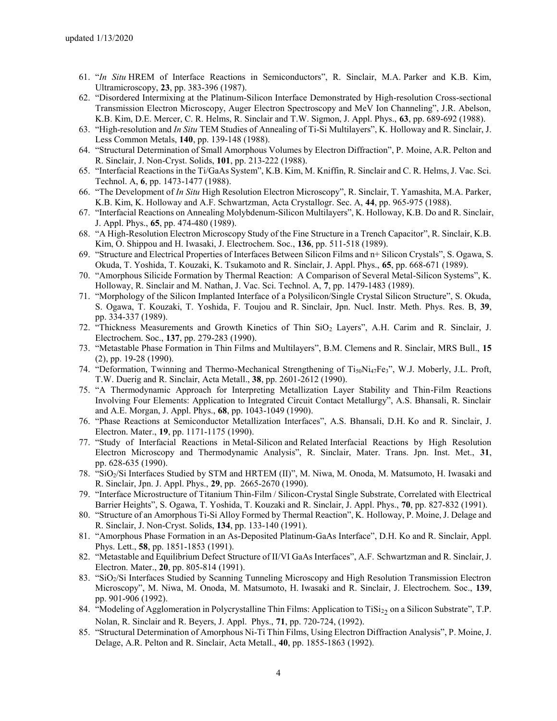- 61. "*In Situ* HREM of Interface Reactions in Semiconductors", R. Sinclair, M.A. Parker and K.B. Kim, Ultramicroscopy, **23**, pp. 383-396 (1987).
- 62. "Disordered Intermixing at the Platinum-Silicon Interface Demonstrated by High-resolution Cross-sectional Transmission Electron Microscopy, Auger Electron Spectroscopy and MeV Ion Channeling", J.R. Abelson, K.B. Kim, D.E. Mercer, C. R. Helms, R. Sinclair and T.W. Sigmon, J. Appl. Phys., **63**, pp. 689-692 (1988).
- 63. "High-resolution and *In Situ* TEM Studies of Annealing of Ti-Si Multilayers", K. Holloway and R. Sinclair, J. Less Common Metals, **140**, pp. 139-148 (1988).
- 64. "Structural Determination of Small Amorphous Volumes by Electron Diffraction", P. Moine, A.R. Pelton and R. Sinclair, J. Non-Cryst. Solids, **101**, pp. 213-222 (1988).
- 65. "Interfacial Reactions in the Ti/GaAs System", K.B. Kim, M. Kniffin, R. Sinclair and C. R. Helms, J. Vac. Sci. Technol. A, **6**, pp. 1473-1477 (1988).
- 66. "The Development of *In Situ* High Resolution Electron Microscopy", R. Sinclair, T. Yamashita, M.A. Parker, K.B. Kim, K. Holloway and A.F. Schwartzman, Acta Crystallogr. Sec. A, **44**, pp. 965-975 (1988).
- 67. "Interfacial Reactions on Annealing Molybdenum-Silicon Multilayers", K. Holloway, K.B. Do and R. Sinclair, J. Appl. Phys., **65**, pp. 474-480 (1989).
- 68. "A High-Resolution Electron Microscopy Study of the Fine Structure in a Trench Capacitor", R. Sinclair, K.B. Kim, O. Shippou and H. Iwasaki, J. Electrochem. Soc., **136**, pp. 511-518 (1989).
- 69. "Structure and Electrical Properties of Interfaces Between Silicon Films and n+ Silicon Crystals", S. Ogawa, S. Okuda, T. Yoshida, T. Kouzaki, K. Tsukamoto and R. Sinclair, J. Appl. Phys., **65**, pp. 668-671 (1989).
- 70. "Amorphous Silicide Formation by Thermal Reaction: A Comparison of Several Metal-Silicon Systems", K. Holloway, R. Sinclair and M. Nathan, J. Vac. Sci. Technol. A, **7**, pp. 1479-1483 (1989).
- 71. "Morphology of the Silicon Implanted Interface of a Polysilicon/Single Crystal Silicon Structure", S. Okuda, S. Ogawa, T. Kouzaki, T. Yoshida, F. Toujou and R. Sinclair, Jpn. Nucl. Instr. Meth. Phys. Res. B, **39**, pp. 334-337 (1989).
- 72. "Thickness Measurements and Growth Kinetics of Thin SiO<sup>2</sup> Layers", A.H. Carim and R. Sinclair, J. Electrochem. Soc., **137**, pp. 279-283 (1990).
- 73. "Metastable Phase Formation in Thin Films and Multilayers", B.M. Clemens and R. Sinclair, MRS Bull., **15** (2), pp. 19-28 (1990).
- 74. "Deformation, Twinning and Thermo-Mechanical Strengthening of Ti<sub>50</sub>Ni<sub>47</sub>Fe<sub>3</sub>", W.J. Moberly, J.L. Proft, T.W. Duerig and R. Sinclair, Acta Metall., **38**, pp. 2601-2612 (1990).
- 75. "A Thermodynamic Approach for Interpreting Metallization Layer Stability and Thin-Film Reactions Involving Four Elements: Application to Integrated Circuit Contact Metallurgy", A.S. Bhansali, R. Sinclair and A.E. Morgan, J. Appl. Phys., **68**, pp. 1043-1049 (1990).
- 76. "Phase Reactions at Semiconductor Metallization Interfaces", A.S. Bhansali, D.H. Ko and R. Sinclair, J. Electron. Mater., **19**, pp. 1171-1175 (1990).
- 77. "Study of Interfacial Reactions in Metal-Silicon and Related Interfacial Reactions by High Resolution Electron Microscopy and Thermodynamic Analysis", R. Sinclair, Mater. Trans. Jpn. Inst. Met., **31**, pp. 628-635 (1990).
- 78. "SiO2/Si Interfaces Studied by STM and HRTEM (II)", M. Niwa, M. Onoda, M. Matsumoto, H. Iwasaki and R. Sinclair, Jpn. J. Appl. Phys., **29**, pp. 2665-2670 (1990).
- 79. "Interface Microstructure of Titanium Thin-Film / Silicon-Crystal Single Substrate, Correlated with Electrical Barrier Heights", S. Ogawa, T. Yoshida, T. Kouzaki and R. Sinclair, J. Appl. Phys., **70**, pp. 827-832 (1991).
- 80. "Structure of an Amorphous Ti-Si Alloy Formed by Thermal Reaction", K. Holloway, P. Moine, J. Delage and R. Sinclair, J. Non-Cryst. Solids, **134**, pp. 133-140 (1991).
- 81. "Amorphous Phase Formation in an As-Deposited Platinum-GaAs Interface", D.H. Ko and R. Sinclair, Appl. Phys. Lett., **58**, pp. 1851-1853 (1991).
- 82. "Metastable and Equilibrium Defect Structure of II/VI GaAs Interfaces", A.F. Schwartzman and R. Sinclair, J. Electron. Mater., **20**, pp. 805-814 (1991).
- 83. "SiO2/Si Interfaces Studied by Scanning Tunneling Microscopy and High Resolution Transmission Electron Microscopy", M. Niwa, M. Onoda, M. Matsumoto, H. Iwasaki and R. Sinclair, J. Electrochem. Soc., **139**, pp. 901-906 (1992).
- 84. "Modeling of Agglomeration in Polycrystalline Thin Films: Application to TiSi<sub>22</sub> on a Silicon Substrate", T.P. Nolan, R. Sinclair and R. Beyers, J. Appl. Phys., **71**, pp. 720-724, (1992).
- 85. "Structural Determination of Amorphous Ni-Ti Thin Films, Using Electron Diffraction Analysis", P. Moine, J. Delage, A.R. Pelton and R. Sinclair, Acta Metall., **40**, pp. 1855-1863 (1992).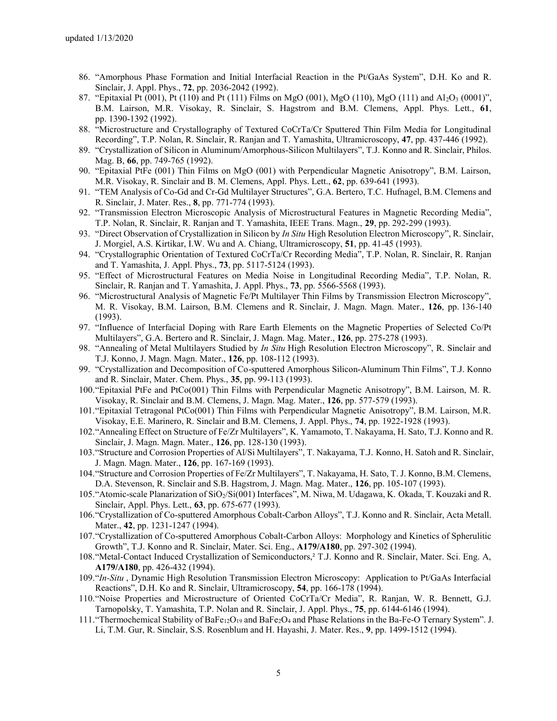- 86. "Amorphous Phase Formation and Initial Interfacial Reaction in the Pt/GaAs System", D.H. Ko and R. Sinclair, J. Appl. Phys., **72**, pp. 2036-2042 (1992).
- 87. "Epitaxial Pt (001), Pt (110) and Pt (111) Films on MgO (001), MgO (110), MgO (111) and Al2O3 (0001)", B.M. Lairson, M.R. Visokay, R. Sinclair, S. Hagstrom and B.M. Clemens, Appl. Phys. Lett., **61**, pp. 1390-1392 (1992).
- 88. "Microstructure and Crystallography of Textured CoCrTa/Cr Sputtered Thin Film Media for Longitudinal Recording", T.P. Nolan, R. Sinclair, R. Ranjan and T. Yamashita, Ultramicroscopy, **47**, pp. 437-446 (1992).
- 89. "Crystallization of Silicon in Aluminum/Amorphous-Silicon Multilayers", T.J. Konno and R. Sinclair, Philos. Mag. B, **66**, pp. 749-765 (1992).
- 90. "Epitaxial PtFe (001) Thin Films on MgO (001) with Perpendicular Magnetic Anisotropy", B.M. Lairson, M.R. Visokay, R. Sinclair and B. M. Clemens, Appl. Phys. Lett., **62**, pp. 639-641 (1993).
- 91. "TEM Analysis of Co-Gd and Cr-Gd Multilayer Structures", G.A. Bertero, T.C. Hufnagel, B.M. Clemens and R. Sinclair, J. Mater. Res., **8**, pp. 771-774 (1993).
- 92. "Transmission Electron Microscopic Analysis of Microstructural Features in Magnetic Recording Media", T.P. Nolan, R. Sinclair, R. Ranjan and T. Yamashita, IEEE Trans. Magn., **29**, pp. 292-299 (1993).
- 93. "Direct Observation of Crystallization in Silicon by *In Situ* High Resolution Electron Microscopy", R. Sinclair, J. Morgiel, A.S. Kirtikar, I.W. Wu and A. Chiang, Ultramicroscopy, **51**, pp. 41-45 (1993).
- 94. "Crystallographic Orientation of Textured CoCrTa/Cr Recording Media", T.P. Nolan, R. Sinclair, R. Ranjan and T. Yamashita, J. Appl. Phys., **73**, pp. 5117-5124 (1993).
- 95. "Effect of Microstructural Features on Media Noise in Longitudinal Recording Media", T.P. Nolan, R. Sinclair, R. Ranjan and T. Yamashita, J. Appl. Phys., **73**, pp. 5566-5568 (1993).
- 96. "Microstructural Analysis of Magnetic Fe/Pt Multilayer Thin Films by Transmission Electron Microscopy", M. R. Visokay, B.M. Lairson, B.M. Clemens and R. Sinclair, J. Magn. Magn. Mater., **126**, pp. 136-140 (1993).
- 97. "Influence of Interfacial Doping with Rare Earth Elements on the Magnetic Properties of Selected Co/Pt Multilayers", G.A. Bertero and R. Sinclair, J. Magn. Mag. Mater., **126**, pp. 275-278 (1993).
- 98. "Annealing of Metal Multilayers Studied by *In Situ* High Resolution Electron Microscopy", R. Sinclair and T.J. Konno, J. Magn. Magn. Mater., **126**, pp. 108-112 (1993).
- 99. "Crystallization and Decomposition of Co-sputtered Amorphous Silicon-Aluminum Thin Films", T.J. Konno and R. Sinclair, Mater. Chem. Phys., **35**, pp. 99-113 (1993).
- 100."Epitaxial PtFe and PtCo(001) Thin Films with Perpendicular Magnetic Anisotropy", B.M. Lairson, M. R. Visokay, R. Sinclair and B.M. Clemens, J. Magn. Mag. Mater., **126**, pp. 577-579 (1993).
- 101."Epitaxial Tetragonal PtCo(001) Thin Films with Perpendicular Magnetic Anisotropy", B.M. Lairson, M.R. Visokay, E.E. Marinero, R. Sinclair and B.M. Clemens, J. Appl. Phys., **74**, pp. 1922-1928 (1993).
- 102."Annealing Effect on Structure of Fe/Zr Multilayers", K. Yamamoto, T. Nakayama, H. Sato, T.J. Konno and R. Sinclair, J. Magn. Magn. Mater., **126**, pp. 128-130 (1993).
- 103."Structure and Corrosion Properties of Al/Si Multilayers", T. Nakayama, T.J. Konno, H. Satoh and R. Sinclair, J. Magn. Magn. Mater., **126**, pp. 167-169 (1993).
- 104."Structure and Corrosion Properties of Fe/Zr Multilayers", T. Nakayama, H. Sato, T. J. Konno, B.M. Clemens, D.A. Stevenson, R. Sinclair and S.B. Hagstrom, J. Magn. Mag. Mater., **126**, pp. 105-107 (1993).
- 105."Atomic-scale Planarization of SiO2/Si(001) Interfaces", M. Niwa, M. Udagawa, K. Okada, T. Kouzaki and R. Sinclair, Appl. Phys. Lett., **63**, pp. 675-677 (1993).
- 106."Crystallization of Co-sputtered Amorphous Cobalt-Carbon Alloys", T.J. Konno and R. Sinclair, Acta Metall. Mater., **42**, pp. 1231-1247 (1994).
- 107."Crystallization of Co-sputtered Amorphous Cobalt-Carbon Alloys: Morphology and Kinetics of Spherulitic Growth", T.J. Konno and R. Sinclair, Mater. Sci. Eng., **A179/A180**, pp. 297-302 (1994).
- 108."Metal-Contact Induced Crystallization of Semiconductors,² T.J. Konno and R. Sinclair, Mater. Sci. Eng. A, **A179/A180**, pp. 426-432 (1994).
- 109."*In-Situ* , Dynamic High Resolution Transmission Electron Microscopy: Application to Pt/GaAs Interfacial Reactions", D.H. Ko and R. Sinclair, Ultramicroscopy, **54**, pp. 166-178 (1994).
- 110."Noise Properties and Microstructure of Oriented CoCrTa/Cr Media", R. Ranjan, W. R. Bennett, G.J. Tarnopolsky, T. Yamashita, T.P. Nolan and R. Sinclair, J. Appl. Phys., **75**, pp. 6144-6146 (1994).
- 111. "Thermochemical Stability of BaFe<sub>12</sub>O<sub>19</sub> and BaFe<sub>2</sub>O<sub>4</sub> and Phase Relations in the Ba-Fe-O Ternary System". J. Li, T.M. Gur, R. Sinclair, S.S. Rosenblum and H. Hayashi, J. Mater. Res., **9**, pp. 1499-1512 (1994).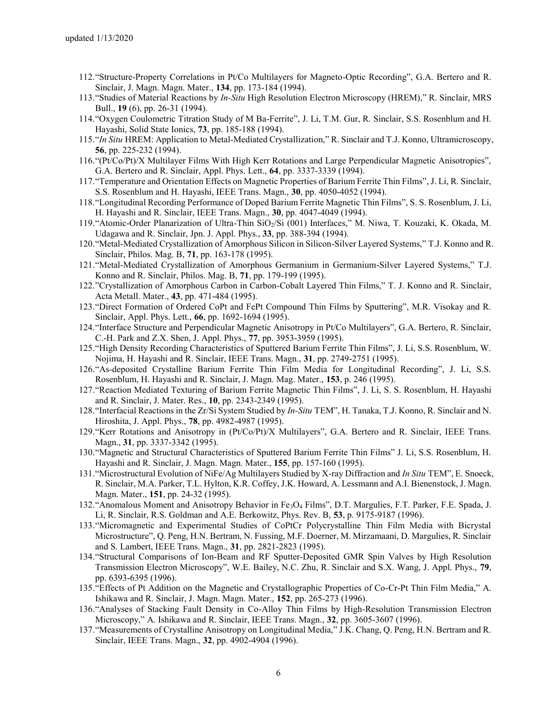- 112."Structure-Property Correlations in Pt/Co Multilayers for Magneto-Optic Recording", G.A. Bertero and R. Sinclair, J. Magn. Magn. Mater., **134**, pp. 173-184 (1994).
- 113."Studies of Material Reactions by *In-Situ* High Resolution Electron Microscopy (HREM)," R. Sinclair, MRS Bull., **19** (6), pp. 26-31 (1994).
- 114."Oxygen Coulometric Titration Study of M Ba-Ferrite", J. Li, T.M. Gur, R. Sinclair, S.S. Rosenblum and H. Hayashi, Solid State Ionics, **73**, pp. 185-188 (1994).
- 115."*In Situ* HREM: Application to Metal-Mediated Crystallization," R. Sinclair and T.J. Konno, Ultramicroscopy, **56**, pp. 225-232 (1994).
- 116."(Pt/Co/Pt)/X Multilayer Films With High Kerr Rotations and Large Perpendicular Magnetic Anisotropies", G.A. Bertero and R. Sinclair, Appl. Phys. Lett., **64**, pp. 3337-3339 (1994).
- 117."Temperature and Orientation Effects on Magnetic Properties of Barium Ferrite Thin Films", J. Li, R. Sinclair, S.S. Rosenblum and H. Hayashi, IEEE Trans. Magn., **30**, pp. 4050-4052 (1994).
- 118."Longitudinal Recording Performance of Doped Barium Ferrite Magnetic Thin Films", S. S. Rosenblum, J. Li, H. Hayashi and R. Sinclair, IEEE Trans. Magn., **30**, pp. 4047-4049 (1994).
- 119."Atomic-Order Planarization of Ultra-Thin SiO2/Si (001) Interfaces," M. Niwa, T. Kouzaki, K. Okada, M. Udagawa and R. Sinclair, Jpn. J. Appl. Phys., **33**, pp. 388-394 (1994).
- 120."Metal-Mediated Crystallization of Amorphous Silicon in Silicon-Silver Layered Systems," T.J. Konno and R. Sinclair, Philos. Mag. B, **71**, pp. 163-178 (1995).
- 121."Metal-Mediated Crystallization of Amorphous Germanium in Germanium-Silver Layered Systems," T.J. Konno and R. Sinclair, Philos. Mag. B, **71**, pp. 179-199 (1995).
- 122."Crystallization of Amorphous Carbon in Carbon-Cobalt Layered Thin Films," T. J. Konno and R. Sinclair, Acta Metall. Mater., **43**, pp. 471-484 (1995).
- 123."Direct Formation of Ordered CoPt and FePt Compound Thin Films by Sputtering", M.R. Visokay and R. Sinclair, Appl. Phys. Lett., **66**, pp. 1692-1694 (1995).
- 124."Interface Structure and Perpendicular Magnetic Anisotropy in Pt/Co Multilayers", G.A. Bertero, R. Sinclair, C.-H. Park and Z.X. Shen, J. Appl. Phys., **77**, pp. 3953-3959 (1995).
- 125."High Density Recording Characteristics of Sputtered Barium Ferrite Thin Films", J. Li, S.S. Rosenblum, W. Nojima, H. Hayashi and R. Sinclair, IEEE Trans. Magn., **31**, pp. 2749-2751 (1995).
- 126."As-deposited Crystalline Barium Ferrite Thin Film Media for Longitudinal Recording", J. Li, S.S. Rosenblum, H. Hayashi and R. Sinclair, J. Magn. Mag. Mater., **153**, p. 246 (1995).
- 127."Reaction Mediated Texturing of Barium Ferrite Magnetic Thin Films", J. Li, S. S. Rosenblum, H. Hayashi and R. Sinclair, J. Mater. Res., **10**, pp. 2343-2349 (1995).
- 128."Interfacial Reactions in the Zr/Si System Studied by *In-Situ* TEM", H. Tanaka, T.J. Konno, R. Sinclair and N. Hiroshita, J. Appl. Phys., **78**, pp. 4982-4987 (1995).
- 129."Kerr Rotations and Anisotropy in (Pt/Co/Pt)/X Multilayers", G.A. Bertero and R. Sinclair, IEEE Trans. Magn., **31**, pp. 3337-3342 (1995).
- 130."Magnetic and Structural Characteristics of Sputtered Barium Ferrite Thin Films" J. Li, S.S. Rosenblum, H. Hayashi and R. Sinclair, J. Magn. Magn. Mater., **155**, pp. 157-160 (1995).
- 131."Microstructural Evolution of NiFe/Ag Multilayers Studied by X-ray Diffraction and *In Situ* TEM", E. Snoeck, R. Sinclair, M.A. Parker, T.L. Hylton, K.R. Coffey, J.K. Howard, A. Lessmann and A.I. Bienenstock, J. Magn. Magn. Mater., **151**, pp. 24-32 (1995).
- 132."Anomalous Moment and Anisotropy Behavior in Fe3O<sup>4</sup> Films", D.T. Margulies, F.T. Parker, F.E. Spada, J. Li, R. Sinclair, R.S. Goldman and A.E. Berkowitz, Phys. Rev. B, **53**, p. 9175-9187 (1996).
- 133."Micromagnetic and Experimental Studies of CoPtCr Polycrystalline Thin Film Media with Bicrystal Microstructure", Q. Peng, H.N. Bertram, N. Fussing, M.F. Doerner, M. Mirzamaani, D. Margulies, R. Sinclair and S. Lambert, IEEE Trans. Magn., **31**, pp. 2821-2823 (1995).
- 134."Structural Comparisons of Ion-Beam and RF Sputter-Deposited GMR Spin Valves by High Resolution Transmission Electron Microscopy", W.E. Bailey, N.C. Zhu, R. Sinclair and S.X. Wang, J. Appl. Phys., **79**, pp. 6393-6395 (1996).
- 135."Effects of Pt Addition on the Magnetic and Crystallographic Properties of Co-Cr-Pt Thin Film Media," A. Ishikawa and R. Sinclair, J. Magn. Magn. Mater., **152**, pp. 265-273 (1996).
- 136."Analyses of Stacking Fault Density in Co-Alloy Thin Films by High-Resolution Transmission Electron Microscopy," A. Ishikawa and R. Sinclair, IEEE Trans. Magn., **32**, pp. 3605-3607 (1996).
- 137."Measurements of Crystalline Anisotropy on Longitudinal Media," J.K. Chang, Q. Peng, H.N. Bertram and R. Sinclair, IEEE Trans. Magn., **32**, pp. 4902-4904 (1996).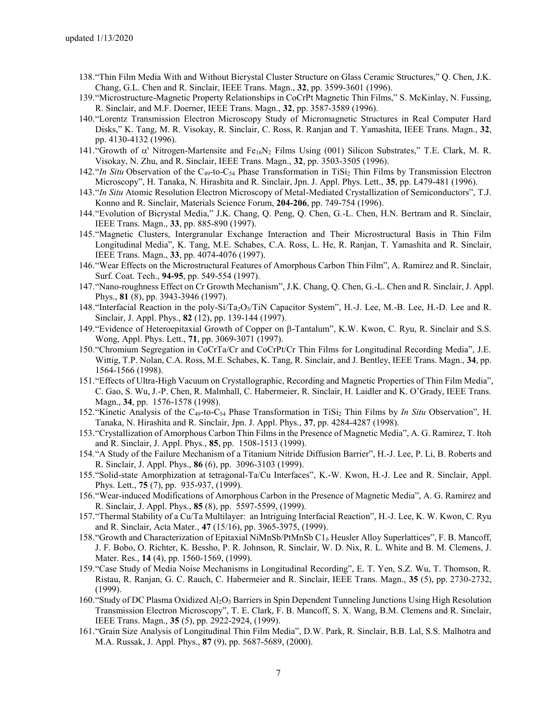- 138."Thin Film Media With and Without Bicrystal Cluster Structure on Glass Ceramic Structures," Q. Chen, J.K. Chang, G.L. Chen and R. Sinclair, IEEE Trans. Magn., **32**, pp. 3599-3601 (1996).
- 139."Microstructure-Magnetic Property Relationships in CoCrPt Magnetic Thin Films," S. McKinlay, N. Fussing, R. Sinclair, and M.F. Doerner, IEEE Trans. Magn., **32**, pp. 3587-3589 (1996).
- 140."Lorentz Transmission Electron Microscopy Study of Micromagnetic Structures in Real Computer Hard Disks," K. Tang, M. R. Visokay, R. Sinclair, C. Ross, R. Ranjan and T. Yamashita, IEEE Trans. Magn., **32**, pp. 4130-4132 (1996).
- 141. "Growth of  $\alpha'$  Nitrogen-Martensite and  $Fe_{16}N_2$  Films Using (001) Silicon Substrates," T.E. Clark, M. R. Visokay, N. Zhu, and R. Sinclair, IEEE Trans. Magn., **32**, pp. 3503-3505 (1996).
- 142."*In Situ* Observation of the C49-to-C<sup>54</sup> Phase Transformation in TiSi<sup>2</sup> Thin Films by Transmission Electron Microscopy", H. Tanaka, N. Hirashita and R. Sinclair, Jpn. J. Appl. Phys. Lett., **35**, pp. L479-481 (1996).
- 143."*In Situ* Atomic Resolution Electron Microscopy of Metal-Mediated Crystallization of Semiconductors", T.J. Konno and R. Sinclair, Materials Science Forum, **204-206**, pp. 749-754 (1996).
- 144."Evolution of Bicrystal Media," J.K. Chang, Q. Peng, Q. Chen, G.-L. Chen, H.N. Bertram and R. Sinclair, IEEE Trans. Magn., **33**, pp. 885-890 (1997).
- 145."Magnetic Clusters, Intergranular Exchange Interaction and Their Microstructural Basis in Thin Film Longitudinal Media", K. Tang, M.E. Schabes, C.A. Ross, L. He, R. Ranjan, T. Yamashita and R. Sinclair, IEEE Trans. Magn., **33**, pp. 4074-4076 (1997).
- 146."Wear Effects on the Microstructural Features of Amorphous Carbon Thin Film", A. Ramirez and R. Sinclair, Surf. Coat. Tech., **94-95**, pp. 549-554 (1997).
- 147."Nano-roughness Effect on Cr Growth Mechanism", J.K. Chang, Q. Chen, G.-L. Chen and R. Sinclair, J. Appl. Phys., **81** (8), pp. 3943-3946 (1997).
- 148. "Interfacial Reaction in the poly-Si/Ta<sub>2</sub>O<sub>5</sub>/TiN Capacitor System", H.-J. Lee, M.-B. Lee, H.-D. Lee and R. Sinclair, J. Appl. Phys., **82** (12), pp. 139-144 (1997).
- 149. "Evidence of Heteroepitaxial Growth of Copper on β-Tantalum", K.W. Kwon, C. Ryu, R. Sinclair and S.S. Wong, Appl. Phys. Lett., **71**, pp. 3069-3071 (1997).
- 150."Chromium Segregation in CoCrTa/Cr and CoCrPt/Cr Thin Films for Longitudinal Recording Media", J.E. Wittig, T.P. Nolan, C.A. Ross, M.E. Schabes, K. Tang, R. Sinclair, and J. Bentley, IEEE Trans. Magn., **34**, pp. 1564-1566 (1998).
- 151."Effects of Ultra-High Vacuum on Crystallographic, Recording and Magnetic Properties of Thin Film Media", C. Gao, S. Wu, J.-P. Chen, R. Malmhall, C. Habermeier, R. Sinclair, H. Laidler and K. O'Grady, IEEE Trans. Magn., **34**, pp. 1576-1578 (1998).
- 152."Kinetic Analysis of the C49-to-C<sup>54</sup> Phase Transformation in TiSi<sup>2</sup> Thin Films by *In Situ* Observation", H. Tanaka, N. Hirashita and R. Sinclair, Jpn. J. Appl. Phys., **37**, pp. 4284-4287 (1998).
- 153."Crystallization of Amorphous Carbon Thin Films in the Presence of Magnetic Media", A. G. Ramirez, T. Itoh and R. Sinclair, J. Appl. Phys., **85**, pp. 1508-1513 (1999).
- 154."A Study of the Failure Mechanism of a Titanium Nitride Diffusion Barrier", H.-J. Lee, P. Li, B. Roberts and R. Sinclair, J. Appl. Phys., **86** (6), pp. 3096-3103 (1999).
- 155."Solid-state Amorphization at tetragonal-Ta/Cu Interfaces", K.-W. Kwon, H.-J. Lee and R. Sinclair, Appl. Phys. Lett., **75** (7), pp. 935-937, (1999).
- 156."Wear-induced Modifications of Amorphous Carbon in the Presence of Magnetic Media", A. G. Ramirez and R. Sinclair, J. Appl. Phys., **85** (8), pp. 5597-5599, (1999).
- 157."Thermal Stability of a Cu/Ta Multilayer: an Intriguing Interfacial Reaction", H.-J. Lee, K. W. Kwon, C. Ryu and R. Sinclair, Acta Mater., **47** (15/16), pp. 3965-3975, (1999).
- 158."Growth and Characterization of Epitaxial NiMnSb/PtMnSb C1*<sup>b</sup>* Heusler Alloy Superlattices", F. B. Mancoff, J. F. Bobo, O. Richter, K. Bessho, P. R. Johnson, R. Sinclair, W. D. Nix, R. L. White and B. M. Clemens, J. Mater. Res., **14** (4), pp. 1560-1569, (1999).
- 159."Case Study of Media Noise Mechanisms in Longitudinal Recording", E. T. Yen, S.Z. Wu, T. Thomson, R. Ristau, R. Ranjan, G. C. Rauch, C. Habermeier and R. Sinclair, IEEE Trans. Magn., **35** (5), pp. 2730-2732, (1999).
- 160. "Study of DC Plasma Oxidized Al<sub>2</sub>O<sub>3</sub> Barriers in Spin Dependent Tunneling Junctions Using High Resolution Transmission Electron Microscopy", T. E. Clark, F. B. Mancoff, S. X. Wang, B.M. Clemens and R. Sinclair, IEEE Trans. Magn., **35** (5), pp. 2922-2924, (1999).
- 161."Grain Size Analysis of Longitudinal Thin Film Media", D.W. Park, R. Sinclair, B.B. Lal, S.S. Malhotra and M.A. Russak, J. Appl. Phys., **87** (9), pp. 5687-5689, (2000).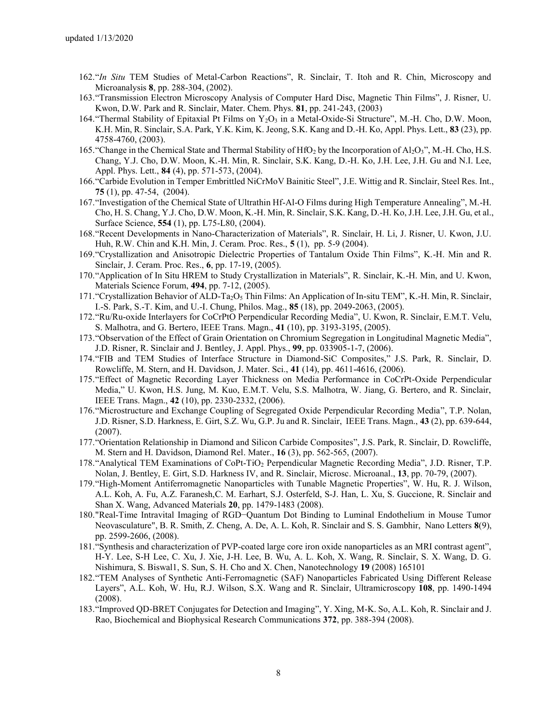- 162."*In Situ* TEM Studies of Metal-Carbon Reactions", R. Sinclair, T. Itoh and R. Chin, Microscopy and Microanalysis **8**, pp. 288-304, (2002).
- 163."Transmission Electron Microscopy Analysis of Computer Hard Disc, Magnetic Thin Films", J. Risner, U. Kwon, D.W. Park and R. Sinclair, Mater. Chem. Phys. **81**, pp. 241-243, (2003)
- 164. "Thermal Stability of Epitaxial Pt Films on  $Y_2O_3$  in a Metal-Oxide-Si Structure", M.-H. Cho, D.W. Moon, K.H. Min, R. Sinclair, S.A. Park, Y.K. Kim, K. Jeong, S.K. Kang and D.-H. Ko, Appl. Phys. Lett., **83** (23), pp. 4758-4760, (2003).
- 165. "Change in the Chemical State and Thermal Stability of  $HfO<sub>2</sub>$  by the Incorporation of  $Al<sub>2</sub>O<sub>3</sub>$ ", M.-H. Cho, H.S. Chang, Y.J. Cho, D.W. Moon, K.-H. Min, R. Sinclair, S.K. Kang, D.-H. Ko, J.H. Lee, J.H. Gu and N.I. Lee, Appl. Phys. Lett., **84** (4), pp. 571-573, (2004).
- 166."Carbide Evolution in Temper Embrittled NiCrMoV Bainitic Steel", J.E. Wittig and R. Sinclair, Steel Res. Int., **75** (1), pp. 47-54, (2004).
- 167."Investigation of the Chemical State of Ultrathin Hf-Al-O Films during High Temperature Annealing", M.-H. Cho, H. S. Chang, Y.J. Cho, D.W. Moon, K.-H. Min, R. Sinclair, S.K. Kang, D.-H. Ko, J.H. Lee, J.H. Gu, et al., Surface Science, **554** (1), pp. L75-L80, (2004).
- 168."Recent Developments in Nano-Characterization of Materials", R. Sinclair, H. Li, J. Risner, U. Kwon, J.U. Huh, R.W. Chin and K.H. Min, J. Ceram. Proc. Res., **5** (1), pp. 5-9 (2004).
- 169."Crystallization and Anisotropic Dielectric Properties of Tantalum Oxide Thin Films", K.-H. Min and R. Sinclair, J. Ceram. Proc. Res., **6**, pp. 17-19, (2005).
- 170."Application of In Situ HREM to Study Crystallization in Materials", R. Sinclair, K.-H. Min, and U. Kwon, Materials Science Forum, **494**, pp. 7-12, (2005).
- 171. "Crystallization Behavior of ALD-Ta<sub>2</sub>O<sub>5</sub> Thin Films: An Application of In-situ TEM", K.-H. Min, R. Sinclair, I.-S. Park, S.-T. Kim, and U.-I. Chung, Philos. Mag., **85** (18), pp. 2049-2063, (2005).
- 172."Ru/Ru-oxide Interlayers for CoCrPtO Perpendicular Recording Media", U. Kwon, R. Sinclair, E.M.T. Velu, S. Malhotra, and G. Bertero, IEEE Trans. Magn., **41** (10), pp. 3193-3195, (2005).
- 173."Observation of the Effect of Grain Orientation on Chromium Segregation in Longitudinal Magnetic Media", J.D. Risner, R. Sinclair and J. Bentley, J. Appl. Phys., **99**, pp. 033905-1-7, (2006).
- 174."FIB and TEM Studies of Interface Structure in Diamond-SiC Composites," J.S. Park, R. Sinclair, D. Rowcliffe, M. Stern, and H. Davidson, J. Mater. Sci., **41** (14), pp. 4611-4616, (2006).
- 175."Effect of Magnetic Recording Layer Thickness on Media Performance in CoCrPt-Oxide Perpendicular Media," U. Kwon, H.S. Jung, M. Kuo, E.M.T. Velu, S.S. Malhotra, W. Jiang, G. Bertero, and R. Sinclair, IEEE Trans. Magn., **42** (10), pp. 2330-2332, (2006).
- 176."Microstructure and Exchange Coupling of Segregated Oxide Perpendicular Recording Media", T.P. Nolan, J.D. Risner, S.D. Harkness, E. Girt, S.Z. Wu, G.P. Ju and R. Sinclair, IEEE Trans. Magn., **43** (2), pp. 639-644, (2007).
- 177."Orientation Relationship in Diamond and Silicon Carbide Composites", J.S. Park, R. Sinclair, D. Rowcliffe, M. Stern and H. Davidson, Diamond Rel. Mater., **16** (3), pp. 562-565, (2007).
- 178."Analytical TEM Examinations of CoPt-TiO<sup>2</sup> Perpendicular Magnetic Recording Media", J.D. Risner, T.P. Nolan, J. Bentley, E. Girt, S.D. Harkness IV, and R. Sinclair, Microsc. Microanal., **13**, pp. 70-79, (2007).
- 179."High-Moment Antiferromagnetic Nanoparticles with Tunable Magnetic Properties", W. Hu, R. J. Wilson, A.L. Koh, A. Fu, A.Z. Faranesh,C. M. Earhart, S.J. Osterfeld, S-J. Han, L. Xu, S. Guccione, R. Sinclair and Shan X. Wang, Advanced Materials **20**, pp. 1479-1483 (2008).
- 180."Real-Time Intravital Imaging of RGD−Quantum Dot Binding to Luminal Endothelium in Mouse Tumor Neovasculature", B. R. Smith, Z. Cheng, A. De, A. L. Koh, R. Sinclair and S. S. Gambhir, Nano Letters **8**(9), pp. 2599-2606, (2008).
- 181."Synthesis and characterization of PVP-coated large core iron oxide nanoparticles as an MRI contrast agent", H-Y. Lee, S-H Lee, C. Xu, J. Xie, J-H. Lee, B. Wu, A. L. Koh, X. Wang, R. Sinclair, S. X. Wang, D. G. Nishimura, S. Biswal1, S. Sun, S. H. Cho and X. Chen, Nanotechnology **19** (2008) 165101
- 182."TEM Analyses of Synthetic Anti-Ferromagnetic (SAF) Nanoparticles Fabricated Using Different Release Layers", A.L. Koh, W. Hu, R.J. Wilson, S.X. Wang and R. Sinclair, Ultramicroscopy **108**, pp. 1490-1494 (2008).
- 183."Improved QD-BRET Conjugates for Detection and Imaging", Y. Xing, M-K. So, A.L. Koh, R. Sinclair and J. Rao, Biochemical and Biophysical Research Communications **372**, pp. 388-394 (2008).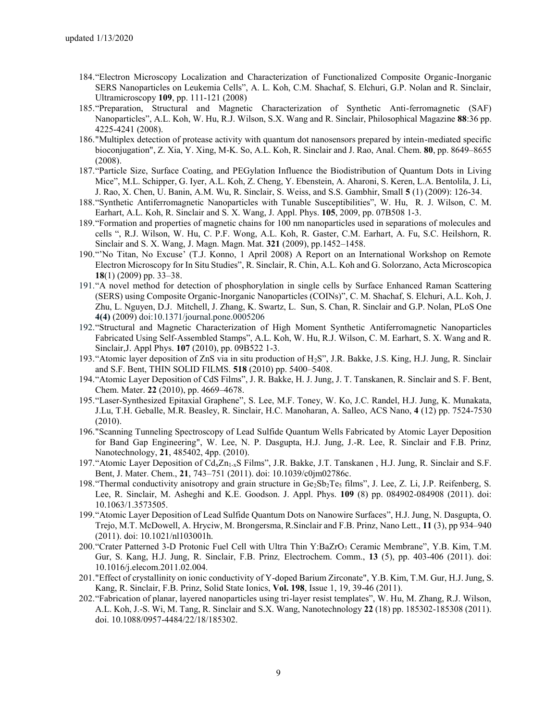- 184."Electron Microscopy Localization and Characterization of Functionalized Composite Organic-Inorganic SERS Nanoparticles on Leukemia Cells", A. L. Koh, C.M. Shachaf, S. Elchuri, G.P. Nolan and R. Sinclair, Ultramicroscopy **109**, pp. 111-121 (2008)
- 185."Preparation, Structural and Magnetic Characterization of Synthetic Anti-ferromagnetic (SAF) Nanoparticles", A.L. Koh, W. Hu, R.J. Wilson, S.X. Wang and R. Sinclair, Philosophical Magazine **88**:36 pp. 4225-4241 (2008).
- 186."Multiplex detection of protease activity with quantum dot nanosensors prepared by intein-mediated specific bioconjugation", Z. Xia, Y. Xing, M-K. So, A.L. Koh, R. Sinclair and J. Rao, Anal. Chem. **80**, pp. 8649–8655 (2008).
- 187."Particle Size, Surface Coating, and PEGylation Influence the Biodistribution of Quantum Dots in Living Mice", M.L. Schipper, G. Iyer, A.L. Koh, Z. Cheng, Y. Ebenstein, A. Aharoni, S. Keren, L.A. Bentolila, J. Li, J. Rao, X. Chen, U. Banin, A.M. Wu, R. Sinclair, S. Weiss, and S.S. Gambhir, Small **5** (1) (2009): 126-34.
- 188."Synthetic Antiferromagnetic Nanoparticles with Tunable Susceptibilities", W. Hu, R. J. Wilson, C. M. Earhart, A.L. Koh, R. Sinclair and S. X. Wang, J. Appl. Phys. **105**, 2009, pp. 07B508 1-3.
- 189."Formation and properties of magnetic chains for 100 nm nanoparticles used in separations of molecules and cells ", R.J. Wilson, W. Hu, C. P.F. Wong, A.L. Koh, R. Gaster, C.M. Earhart, A. Fu, S.C. Heilshorn, R. Sinclair and S. X. Wang, J. Magn. Magn. Mat. **321** (2009), pp.1452–1458.
- 190."'No Titan, No Excuse' (T.J. Konno, 1 April 2008) A Report on an International Workshop on Remote Electron Microscopy for In Situ Studies", R. Sinclair, R. Chin, A.L. Koh and G. Solorzano, Acta Microscopica **18**(1) (2009) pp. 33–38.
- 191."A novel method for detection of phosphorylation in single cells by Surface Enhanced Raman Scattering (SERS) using Composite Organic-Inorganic Nanoparticles (COINs)", C. M. Shachaf, S. Elchuri, A.L. Koh, J. Zhu, L. Nguyen, D.J. Mitchell, J. Zhang, K. Swartz, L. Sun, S. Chan, R. Sinclair and G.P. Nolan, PLoS One **4(4)** (2009) doi:10.1371/journal.pone.0005206
- 192."Structural and Magnetic Characterization of High Moment Synthetic Antiferromagnetic Nanoparticles Fabricated Using Self-Assembled Stamps", A.L. Koh, W. Hu, R.J. Wilson, C. M. Earhart, S. X. Wang and R. Sinclair,J. Appl Phys. **107** (2010), pp. 09B522 1-3.
- 193."Atomic layer deposition of ZnS via in situ production of H2S", J.R. Bakke, J.S. King, H.J. Jung, R. Sinclair and S.F. Bent, THIN SOLID FILMS. **518** (2010) pp. 5400–5408.
- 194."Atomic Layer Deposition of CdS Films", J. R. Bakke, H. J. Jung, J. T. Tanskanen, R. Sinclair and S. F. Bent, Chem. Mater. **22** (2010), pp. 4669–4678.
- 195."Laser-Synthesized Epitaxial Graphene", S. Lee, M.F. Toney, W. Ko, J.C. Randel, H.J. Jung, K. Munakata, J.Lu, T.H. Geballe, M.R. Beasley, R. Sinclair, H.C. Manoharan, A. Salleo, ACS Nano, **4** (12) pp. 7524-7530 (2010).
- 196."Scanning Tunneling Spectroscopy of Lead Sulfide Quantum Wells Fabricated by Atomic Layer Deposition for Band Gap Engineering", W. Lee, N. P. Dasgupta, H.J. Jung, J.-R. Lee, R. Sinclair and F.B. Prinz*,*  Nanotechnology, **21**, 485402, 4pp. (2010).
- 197. "Atomic Layer Deposition of Cd<sub>x</sub>Zn<sub>1-x</sub>S Films", J.R. Bakke, J.T. Tanskanen , H.J. Jung, R. Sinclair and S.F. Bent, J. Mater. Chem., **21**, 743–751 (2011). doi: 10.1039/c0jm02786c.
- 198."Thermal conductivity anisotropy and grain structure in Ge2Sb2Te<sup>5</sup> films", J. Lee, Z. Li, J.P. Reifenberg, S. Lee, R. Sinclair, M. Asheghi and K.E. Goodson. J. Appl. Phys. **109** (8) pp. 084902-084908 (2011). doi: 10.1063/1.3573505.
- 199."Atomic Layer Deposition of Lead Sulfide Quantum Dots on Nanowire Surfaces", H.J. Jung, N. Dasgupta, O. Trejo, M.T. McDowell, A. Hryciw, M. Brongersma, R.Sinclair and F.B. Prinz, Nano Lett., **11** (3), pp 934–940 (2011). doi: 10.1021/nl103001h.
- 200."Crater Patterned 3-D Protonic Fuel Cell with Ultra Thin Y:BaZrO<sup>3</sup> Ceramic Membrane", Y.B. Kim, T.M. Gur, S. Kang, H.J. Jung, R. Sinclair, F.B. Prinz*,* Electrochem. Comm., **13** (5), pp. 403-406 (2011). doi: 10.1016/j.elecom.2011.02.004.
- 201."Effect of crystallinity on ionic conductivity of Y-doped Barium Zirconate", Y.B. Kim, T.M. Gur, H.J. Jung, S. Kang, R. Sinclair, F.B. Prinz, Solid State Ionics, **Vol. 198**, Issue 1, 19, 39-46 (2011).
- 202."Fabrication of planar, layered nanoparticles using tri-layer resist templates", W. Hu, M. Zhang, R.J. Wilson, A.L. Koh, J.-S. Wi, M. Tang, R. Sinclair and S.X. Wang, Nanotechnology **22** (18) pp. 185302-185308 (2011). doi. 10.1088/0957-4484/22/18/185302.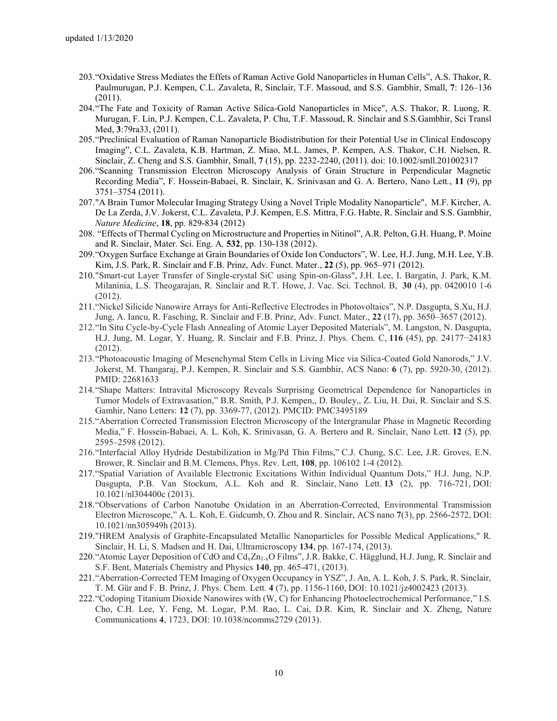- 203."Oxidative Stress Mediates the Effets of Raman Active Gold Nanoparticles in Human Cells", A.S. Thakor, R. Paulmurugan, P.J. Kempen, C.L. Zavaleta, R, Sinclair, T.F. Massoud, and S.S. Gambhir, Small, **7**: 126–136 (2011).
- 204."The Fate and Toxicity of Raman Active Silica-Gold Nanoparticles in Mice", A.S. Thakor, R. Luong, R. Murugan, F. Lin, P.J. Kempen, C.L. Zavaleta, P. Chu, T.F. Massoud, R. Sinclair and S.S.Gambhir, Sci Transl Med, **3**:79ra33, (2011).
- 205."Preclinical Evaluation of Raman Nanoparticle Biodistribution for their Potential Use in Clinical Endoscopy Imaging", C.L. Zavaleta, K.B. Hartman, Z. Miao, M.L. James, P. Kempen, A.S. Thakor, C.H. Nielsen, R. Sinclair, Z. Cheng and S.S. Gambhir, Small, **7** (15), pp. 2232-2240, (2011). doi: 10.1002/smll.201002317
- 206."Scanning Transmission Electron Microscopy Analysis of Grain Structure in Perpendicular Magnetic Recording Media", F. Hossein-Babaei, R. Sinclair, K. Srinivasan and G. A. Bertero, Nano Lett*.*, **11** (9), pp 3751–3754 (2011).
- 207."A Brain Tumor Molecular Imaging Strategy Using a Novel Triple Modality Nanoparticle", M.F. Kircher, A. De La Zerda, J.V. Jokerst, C.L. Zavaleta, P.J. Kempen, E.S. Mittra, F.G. Habte, R. Sinclair and S.S. Gambhir, *Nature Medicine*, **18**, pp. 829-834 (2012)
- 208. "Effects of Thermal Cycling on Microstructure and Properties in Nitinol", A.R. Pelton, G.H. Huang, P. Moine and R. Sinclair, Mater. Sci. Eng. A*,* **532**, pp. 130-138 (2012).
- 209."Oxygen Surface Exchange at Grain Boundaries of Oxide Ion Conductors", W. Lee, H.J. Jung, M.H. Lee, Y.B. Kim, J.S. Park, R. Sinclair and F.B. Prinz, Adv. Funct. Mater., **22** (5), pp. 965–971 (2012).
- 210."Smart-cut Layer Transfer of Single-crystal SiC using Spin-on-Glass", J.H. Lee, I. Bargatin, J. Park, K.M. Milaninia, L.S. Theogarajan, R. Sinclair and R.T. Howe, J. Vac. Sci. Technol. B, **30** (4), pp. 0420010 1-6 (2012).
- 211."Nickel Silicide Nanowire Arrays for Anti-Reflective Electrodes in Photovoltaics", N.P. Dasgupta, S.Xu, H.J. Jung, A. Iancu, R. Fasching, R. Sinclair and F.B. Prinz, Adv. Funct. Mater., **22** (17), pp. 3650–3657 (2012).
- 212."In Situ Cycle-by-Cycle Flash Annealing of Atomic Layer Deposited Materials", M. Langston, N. Dasgupta, H.J. Jung, M. Logar, Y. Huang, R. Sinclair and F.B. Prinz, J. Phys. Chem. C, **116** (45), pp. 24177−24183 (2012).
- 213."Photoacoustic Imaging of Mesenchymal Stem Cells in Living Mice via Silica-Coated Gold Nanorods," J.V. Jokerst, M. Thangaraj, P.J. Kempen, R. Sinclair and S.S. Gambhir, ACS Nano: **6** (7), pp. 5920-30, (2012). PMID: 22681633
- 214."Shape Matters: Intravital Microscopy Reveals Surprising Geometrical Dependence for Nanoparticles in Tumor Models of Extravasation," B.R. Smith, P.J. Kempen,, D. Bouley,, Z. Liu, H. Dai, R. Sinclair and S.S. Gamhir, Nano Letters: **12** (7), pp. 3369-77, (2012). PMCID: PMC3495189
- 215."Aberration Corrected Transmission Electron Microscopy of the Intergranular Phase in Magnetic Recording Media," F. Hossein-Babaei, A. L. Koh, K. Srinivasan, G. A. Bertero and R. Sinclair, Nano Lett. **12** (5), pp. 2595–2598 (2012).
- 216."Interfacial Alloy Hydride Destabilization in Mg/Pd Thin Films," C.J. Chung, S.C. Lee, J.R. Groves, E.N. Brower, R. Sinclair and B.M. Clemens, Phys. Rev. Lett, **108**, pp. 106102 1-4 (2012).
- 217."Spatial Variation of Available Electronic Excitations Within Individual Quantum Dots," H.J. Jung, N.P. Dasgupta, P.B. Van Stockum, A.L. Koh and R. Sinclair, Nano Lett. **13** (2), pp. 716-721, DOI: 10.1021/nl304400c (2013).
- 218."Observations of Carbon Nanotube Oxidation in an Aberration-Corrected, Environmental Transmission Electron Microscope," A. L. Koh, E. Gidcumb, O. Zhou and R. Sinclair, ACS nano **7**(3), pp. 2566-2572, DOI: 10.1021/nn305949h (2013).
- 219."HREM Analysis of Graphite-Encapsulated Metallic Nanoparticles for Possible Medical Applications," R. Sinclair, H. Li, S. Madsen and H. Dai, Ultramicroscopy **134**, pp. 167-174, (2013).
- 220. "Atomic Layer Deposition of CdO and Cd<sub>x</sub>Zn<sub>1-x</sub>O Films", J.R. Bakke, C. Hägglund, H.J. Jung, R. Sinclair and S.F. Bent, Materials Chemistry and Physics **140**, pp. 465-471, (2013).
- 221."Aberration-Corrected TEM Imaging of Oxygen Occupancy in YSZ", J. An, A. L. Koh, J. S. Park, R. Sinclair, T. M. Gür and F. B. Prinz, J. Phys. Chem. Lett. **4** (7), pp. 1156-1160, DOI: 10.1021/jz4002423 (2013).
- 222."Codoping Titanium Dioxide Nanowires with (W, C) for Enhancing Photoelectrochemical Performance," I.S. Cho, C.H. Lee, Y. Feng, M. Logar, P.M. Rao, L. Cai, D.R. Kim, R. Sinclair and X. Zheng, Nature Communications **4**, 1723, DOI: 10.1038/ncomms2729 (2013).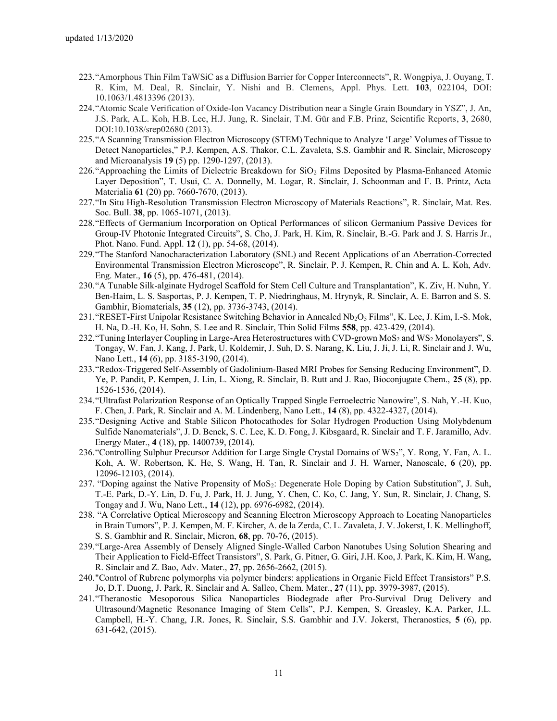- 223."Amorphous Thin Film TaWSiC as a Diffusion Barrier for Copper Interconnects", R. Wongpiya, J. Ouyang, T. R. Kim, M. Deal, R. Sinclair, Y. Nishi and B. Clemens, Appl. Phys. Lett. **103**, 022104, DOI: 10.1063/1.4813396 (2013).
- 224."Atomic Scale Verification of Oxide-Ion Vacancy Distribution near a Single Grain Boundary in YSZ", J. An, J.S. Park, A.L. Koh, H.B. Lee, H.J. Jung, R. Sinclair, T.M. Gür and F.B. Prinz, Scientific Reports, **3**, 2680, DOI:10.1038/srep02680 (2013).
- 225."A Scanning Transmission Electron Microscopy (STEM) Technique to Analyze 'Large' Volumes of Tissue to Detect Nanoparticles," P.J. Kempen, A.S. Thakor, C.L. Zavaleta, S.S. Gambhir and R. Sinclair, Microscopy and Microanalysis **19** (5) pp. 1290-1297, (2013).
- 226. "Approaching the Limits of Dielectric Breakdown for SiO<sub>2</sub> Films Deposited by Plasma-Enhanced Atomic Layer Deposition", T. Usui, C. A. Donnelly, M. Logar, R. Sinclair, J. Schoonman and F. B. Printz, Acta Materialia **61** (20) pp. 7660-7670, (2013).
- 227."In Situ High-Resolution Transmission Electron Microscopy of Materials Reactions", R. Sinclair, Mat. Res. Soc. Bull. **38**, pp. 1065-1071, (2013).
- 228."Effects of Germanium Incorporation on Optical Performances of silicon Germanium Passive Devices for Group-IV Photonic Integrated Circuits", S. Cho, J. Park, H. Kim, R. Sinclair, B.-G. Park and J. S. Harris Jr., Phot. Nano. Fund. Appl. **12** (1), pp. 54-68, (2014).
- 229."The Stanford Nanocharacterization Laboratory (SNL) and Recent Applications of an Aberration-Corrected Environmental Transmission Electron Microscope", R. Sinclair, P. J. Kempen, R. Chin and A. L. Koh, Adv. Eng. Mater., **16** (5), pp. 476-481, (2014).
- 230."A Tunable Silk-alginate Hydrogel Scaffold for Stem Cell Culture and Transplantation", K. Ziv, H. Nuhn, Y. Ben-Haim, L. S. Sasportas, P. J. Kempen, T. P. Niedringhaus, M. Hrynyk, R. Sinclair, A. E. Barron and S. S. Gambhir, Biomaterials, **35** (12), pp. 3736-3743, (2014).
- 231."RESET-First Unipolar Resistance Switching Behavior in Annealed Nb2O<sup>5</sup> Films", K. Lee, J. Kim, I.-S. Mok, H. Na, D.-H. Ko, H. Sohn, S. Lee and R. Sinclair, Thin Solid Films **558**, pp. 423-429, (2014).
- 232. "Tuning Interlayer Coupling in Large-Area Heterostructures with CVD-grown MoS<sub>2</sub> and WS<sub>2</sub> Monolayers", S. Tongay, W. Fan, J. Kang, J. Park, U. Koldemir, J. Suh, D. S. Narang, K. Liu, J. Ji, J. Li, R. Sinclair and J. Wu, Nano Lett., **14** (6), pp. 3185-3190, (2014).
- 233."Redox-Triggered Self-Assembly of Gadolinium-Based MRI Probes for Sensing Reducing Environment", D. Ye, P. Pandit, P. Kempen, J. Lin, L. Xiong, R. Sinclair, B. Rutt and J. Rao, Bioconjugate Chem., **25** (8), pp. 1526-1536, (2014).
- 234."Ultrafast Polarization Response of an Optically Trapped Single Ferroelectric Nanowire", S. Nah, Y.-H. Kuo, F. Chen, J. Park, R. Sinclair and A. M. Lindenberg, Nano Lett., **14** (8), pp. 4322-4327, (2014).
- 235."Designing Active and Stable Silicon Photocathodes for Solar Hydrogen Production Using Molybdenum Sulfide Nanomaterials", J. D. Benck, S. C. Lee, K. D. Fong, J. Kibsgaard, R. Sinclair and T. F. Jaramillo, Adv. Energy Mater., **4** (18), pp. 1400739, (2014).
- 236."Controlling Sulphur Precursor Addition for Large Single Crystal Domains of WS2", Y. Rong, Y. Fan, A. L. Koh, A. W. Robertson, K. He, S. Wang, H. Tan, R. Sinclair and J. H. Warner, Nanoscale, **6** (20), pp. 12096-12103, (2014).
- 237. "Doping against the Native Propensity of MoS2: Degenerate Hole Doping by Cation Substitution", J. Suh, T.-E. Park, D.-Y. Lin, D. Fu, J. Park, H. J. Jung, Y. Chen, C. Ko, C. Jang, Y. Sun, R. Sinclair, J. Chang, S. Tongay and J. Wu, Nano Lett., **14** (12), pp. 6976-6982, (2014).
- 238. "A Correlative Optical Microscopy and Scanning Electron Microscopy Approach to Locating Nanoparticles in Brain Tumors", P. J. Kempen, M. F. Kircher, A. de la Zerda, C. L. Zavaleta, J. V. Jokerst, I. K. Mellinghoff, S. S. Gambhir and R. Sinclair, Micron, **68**, pp. 70-76, (2015).
- 239."Large-Area Assembly of Densely Aligned Single-Walled Carbon Nanotubes Using Solution Shearing and Their Application to Field-Effect Transistors", S. Park, G. Pitner, G. Giri, J.H. Koo, J. Park, K. Kim, H. Wang, R. Sinclair and Z. Bao, Adv. Mater., **27**, pp. 2656-2662, (2015).
- 240."Control of Rubrene polymorphs via polymer binders: applications in Organic Field Effect Transistors" P.S. Jo, D.T. Duong, J. Park, R. Sinclair and A. Salleo, Chem. Mater., **27** (11), pp. 3979-3987, (2015).
- 241."Theranostic Mesoporous Silica Nanoparticles Biodegrade after Pro-Survival Drug Delivery and Ultrasound/Magnetic Resonance Imaging of Stem Cells", P.J. Kempen, S. Greasley, K.A. Parker, J.L. Campbell, H.-Y. Chang, J.R. Jones, R. Sinclair, S.S. Gambhir and J.V. Jokerst, Theranostics, **5** (6), pp. 631-642, (2015).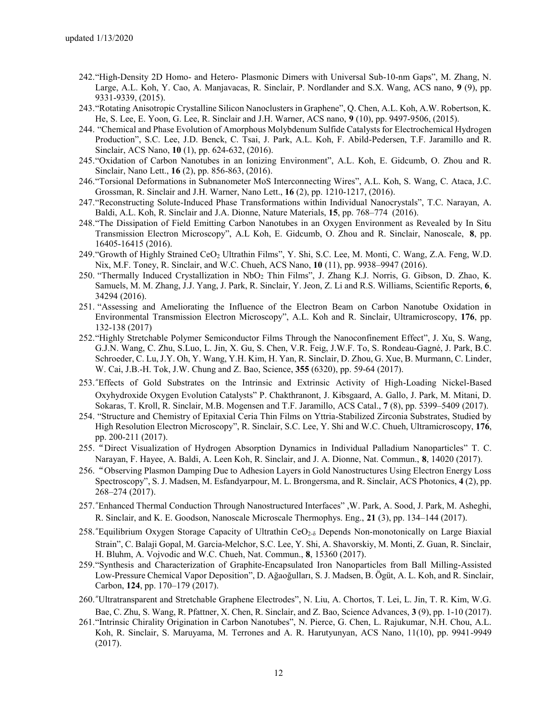- 242."High-Density 2D Homo- and Hetero- Plasmonic Dimers with Universal Sub-10-nm Gaps", M. Zhang, N. Large, A.L. Koh, Y. Cao, A. Manjavacas, R. Sinclair, P. Nordlander and S.X. Wang, ACS nano, **9** (9), pp. 9331-9339, (2015).
- 243."Rotating Anisotropic Crystalline Silicon Nanoclusters in Graphene", Q. Chen, A.L. Koh, A.W. Robertson, K. He, S. Lee, E. Yoon, G. Lee, R. Sinclair and J.H. Warner, ACS nano, **9** (10), pp. 9497-9506, (2015).
- 244. "Chemical and Phase Evolution of Amorphous Molybdenum Sulfide Catalysts for Electrochemical Hydrogen Production", S.C. Lee, J.D. Benck, C. Tsai, J. Park, A.L. Koh, F. Abild-Pedersen, T.F. Jaramillo and R. Sinclair, ACS Nano, **10** (1), pp. 624-632, (2016).
- 245."Oxidation of Carbon Nanotubes in an Ionizing Environment", A.L. Koh, E. Gidcumb, O. Zhou and R. Sinclair, Nano Lett., **16** (2), pp. 856-863, (2016).
- 246."Torsional Deformations in Subnanometer MoS Interconnecting Wires", A.L. Koh, S. Wang, C. Ataca, J.C. Grossman, R. Sinclair and J.H. Warner, Nano Lett., **16** (2), pp. 1210-1217, (2016).
- 247."Reconstructing Solute-Induced Phase Transformations within Individual Nanocrystals", T.C. Narayan, A. Baldi, A.L. Koh, R. Sinclair and J.A. Dionne, Nature Materials, **15**, pp. 768–774 (2016).
- 248."The Dissipation of Field Emitting Carbon Nanotubes in an Oxygen Environment as Revealed by In Situ Transmission Electron Microscopy", A.L Koh, E. Gidcumb, O. Zhou and R. Sinclair, Nanoscale, **8**, pp. 16405-16415 (2016).
- 249."Growth of Highly Strained CeO<sup>2</sup> Ultrathin Films", Y. Shi, S.C. Lee, M. Monti, C. Wang, Z.A. Feng, W.D. Nix, M.F. Toney, R. Sinclair, and W.C. Chueh, ACS Nano, **10** (11), pp. 9938–9947 (2016).
- 250. "Thermally Induced Crystallization in NbO<sup>2</sup> Thin Films", J. Zhang K.J. Norris, G. Gibson, D. Zhao, K. Samuels, M. M. Zhang, J.J. Yang, J. Park, R. Sinclair, Y. Jeon, Z. Li and R.S. Williams, Scientific Reports, **6**, 34294 (2016).
- 251. "Assessing and Ameliorating the Influence of the Electron Beam on Carbon Nanotube Oxidation in Environmental Transmission Electron Microscopy", A.L. Koh and R. Sinclair, Ultramicroscopy, **176**, pp. 132-138 (2017)
- 252."Highly Stretchable Polymer Semiconductor Films Through the Nanoconfinement Effect", J. Xu, S. Wang, G.J.N. Wang, C. Zhu, S.Luo, L. Jin, X. Gu, S. Chen, V.R. Feig, J.W.F. To, S. Rondeau-Gagné, J. Park, B.C. Schroeder, C. Lu, J.Y. Oh, Y. Wang, Y.H. Kim, H. Yan, R. Sinclair, D. Zhou, G. Xue, B. Murmann, C. Linder, W. Cai, J.B.-H. Tok, J.W. Chung and Z. Bao, Science, **355** (6320), pp. 59-64 (2017).
- 253."Effects of Gold Substrates on the Intrinsic and Extrinsic Activity of High-Loading Nickel-Based Oxyhydroxide Oxygen Evolution Catalysts" P. Chakthranont, J. Kibsgaard, A. Gallo, J. Park, M. Mitani, D. Sokaras, T. Kroll, R. Sinclair, M.B. Mogensen and T.F. Jaramillo, ACS Catal., **7** (8), pp. 5399–5409 (2017).
- 254. "Structure and Chemistry of Epitaxial Ceria Thin Films on Yttria-Stabilized Zirconia Substrates, Studied by High Resolution Electron Microscopy", R. Sinclair, S.C. Lee, Y. Shi and W.C. Chueh, Ultramicroscopy, **176**, pp. 200-211 (2017).
- 255."Direct Visualization of Hydrogen Absorption Dynamics in Individual Palladium Nanoparticles" T. C. Narayan, F. Hayee, A. Baldi, A. Leen Koh, R. Sinclair, and J. A. Dionne, Nat. Commun., **8**, 14020 (2017).
- 256."Observing Plasmon Damping Due to Adhesion Layers in Gold Nanostructures Using Electron Energy Loss Spectroscopy", S. J. Madsen, M. Esfandyarpour, M. L. Brongersma, and R. Sinclair, ACS Photonics, **4** (2), pp. 268–274 (2017).
- 257."Enhanced Thermal Conduction Through Nanostructured Interfaces" ,W. Park, A. Sood, J. Park, M. Asheghi, R. Sinclair, and K. E. Goodson, Nanoscale Microscale Thermophys. Eng., **21** (3), pp. 134–144 (2017).
- 258. "Equilibrium Oxygen Storage Capacity of Ultrathin CeO<sub>2-δ</sub> Depends Non-monotonically on Large Biaxial Strain", C. Balaji Gopal, M. Garcia-Melchor, S.C. Lee, Y. Shi, A. Shavorskiy, M. Monti, Z. Guan, R. Sinclair, H. Bluhm, A. Vojvodic and W.C. Chueh, Nat. Commun., **8**, 15360 (2017).
- 259."Synthesis and Characterization of Graphite-Encapsulated Iron Nanoparticles from Ball Milling-Assisted Low-Pressure Chemical Vapor Deposition", D. Ağaoğulları, S. J. Madsen, B. Ögüt, A. L. Koh, and R. Sinclair, Carbon, **124**, pp. 170–179 (2017).
- 260."Ultratransparent and Stretchable Graphene Electrodes", N. Liu, A. Chortos, T. Lei, L. Jin, T. R. Kim, W.G. Bae, C. Zhu, S. Wang, R. Pfattner, X. Chen, R. Sinclair, and Z. Bao, Science Advances, **3** (9), pp. 1-10 (2017).
- 261."Intrinsic Chirality Origination in Carbon Nanotubes", N. Pierce, G. Chen, L. Rajukumar, N.H. Chou, A.L. Koh, R. Sinclair, S. Maruyama, M. Terrones and A. R. Harutyunyan, ACS Nano, 11(10), pp. 9941-9949 (2017).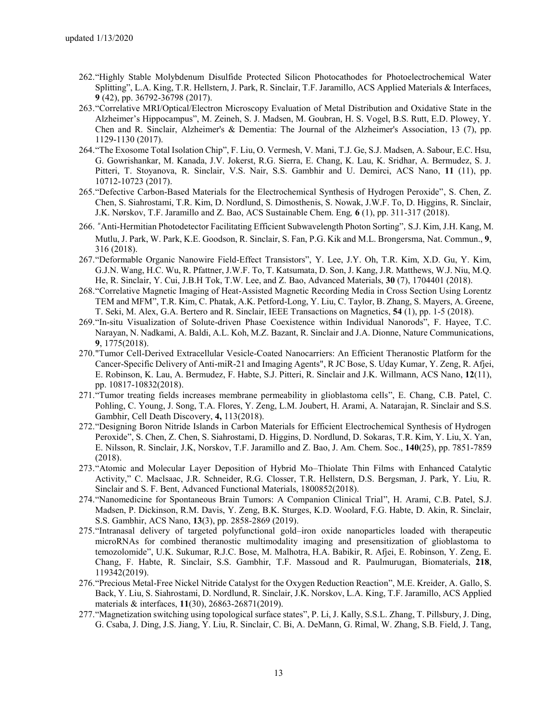- 262."Highly Stable Molybdenum Disulfide Protected Silicon Photocathodes for Photoelectrochemical Water Splitting", L.A. King, T.R. Hellstern, J. Park, R. Sinclair, T.F. Jaramillo, ACS Applied Materials & Interfaces, **9** (42), pp. 36792-36798 (2017).
- 263."Correlative MRI/Optical/Electron Microscopy Evaluation of Metal Distribution and Oxidative State in the Alzheimer's Hippocampus", M. Zeineh, S. J. Madsen, M. Goubran, H. S. Vogel, B.S. Rutt, E.D. Plowey, Y. Chen and R. Sinclair, Alzheimer's & Dementia: The Journal of the Alzheimer's Association, 13 (7), pp. 1129-1130 (2017).
- 264."The Exosome Total Isolation Chip", F. Liu, O. Vermesh, V. Mani, T.J. Ge, S.J. Madsen, A. Sabour, E.C. Hsu, G. Gowrishankar, M. Kanada, J.V. Jokerst, R.G. Sierra, E. Chang, K. Lau, K. Sridhar, A. Bermudez, S. J. Pitteri, T. Stoyanova, R. Sinclair, V.S. Nair, S.S. Gambhir and U. Demirci, ACS Nano, **11** (11), pp. 10712-10723 (2017).
- 265."Defective Carbon-Based Materials for the Electrochemical Synthesis of Hydrogen Peroxide", S. Chen, Z. Chen, S. Siahrostami, T.R. Kim, D. Nordlund, S. Dimosthenis, S. Nowak, J.W.F. To, D. Higgins, R. Sinclair, J.K. Nørskov, T.F. Jaramillo and Z. Bao, ACS Sustainable Chem. Eng*,* **6** (1), pp. 311-317 (2018).
- 266. "Anti-Hermitian Photodetector Facilitating Efficient Subwavelength Photon Sorting", S.J. Kim, J.H. Kang, M. Mutlu, J. Park, W. Park, K.E. Goodson, R. Sinclair, S. Fan, P.G. Kik and M.L. Brongersma, Nat. Commun., **9**, 316 (2018).
- 267."Deformable Organic Nanowire Field-Effect Transistors", Y. Lee, J.Y. Oh, T.R. Kim, X.D. Gu, Y. Kim, G.J.N. Wang, H.C. Wu, R. Pfattner, J.W.F. To, T. Katsumata, D. Son, J. Kang, J.R. Matthews, W.J. Niu, M.Q. He, R. Sinclair, Y. Cui, J.B.H Tok, T.W. Lee, and Z. Bao, Advanced Materials, **30** (7), 1704401 (2018).
- 268."Correlative Magnetic Imaging of Heat-Assisted Magnetic Recording Media in Cross Section Using Lorentz TEM and MFM", T.R. Kim, C. Phatak, A.K. Petford-Long, Y. Liu, C. Taylor, B. Zhang, S. Mayers, A. Greene, T. Seki, M. Alex, G.A. Bertero and R. Sinclair, IEEE Transactions on Magnetics, **54** (1), pp. 1-5 (2018).
- 269."In-situ Visualization of Solute-driven Phase Coexistence within Individual Nanorods", F. Hayee, T.C. Narayan, N. Nadkami, A. Baldi, A.L. Koh, M.Z. Bazant, R. Sinclair and J.A. Dionne, Nature Communications, **9**, 1775(2018).
- 270."Tumor Cell-Derived Extracellular Vesicle-Coated Nanocarriers: An Efficient Theranostic Platform for the Cancer-Specific Delivery of Anti-miR-21 and Imaging Agents", R JC Bose, S. Uday Kumar, Y. Zeng, R. Afjei, E. Robinson, K. Lau, A. Bermudez, F. Habte, S.J. Pitteri, R. Sinclair and J.K. Willmann, ACS Nano, **12**(11), pp. 10817-10832(2018).
- 271."Tumor treating fields increases membrane permeability in glioblastoma cells", E. Chang, C.B. Patel, C. Pohling, C. Young, J. Song, T.A. Flores, Y. Zeng, L.M. Joubert, H. Arami, A. Natarajan, R. Sinclair and S.S. Gambhir, Cell Death Discovery, **4,** 113(2018).
- 272."Designing Boron Nitride Islands in Carbon Materials for Efficient Electrochemical Synthesis of Hydrogen Peroxide", S. Chen, Z. Chen, S. Siahrostami, D. Higgins, D. Nordlund, D. Sokaras, T.R. Kim, Y. Liu, X. Yan, E. Nilsson, R. Sinclair, J.K, Norskov, T.F. Jaramillo and Z. Bao, J. Am. Chem. Soc., **140**(25), pp. 7851-7859 (2018).
- 273."Atomic and Molecular Layer Deposition of Hybrid Mo–Thiolate Thin Films with Enhanced Catalytic Activity," C. Maclsaac, J.R. Schneider, R.G. Closser, T.R. Hellstern, D.S. Bergsman, J. Park, Y. Liu, R. Sinclair and S. F. Bent, Advanced Functional Materials, 1800852(2018).
- 274."Nanomedicine for Spontaneous Brain Tumors: A Companion Clinical Trial", H. Arami, C.B. Patel, S.J. Madsen, P. Dickinson, R.M. Davis, Y. Zeng, B.K. Sturges, K.D. Woolard, F.G. Habte, D. Akin, R. Sinclair, S.S. Gambhir, ACS Nano, **13**(3), pp. 2858-2869 (2019).
- 275."Intranasal delivery of targeted polyfunctional gold–iron oxide nanoparticles loaded with therapeutic microRNAs for combined theranostic multimodality imaging and presensitization of glioblastoma to temozolomide", U.K. Sukumar, R.J.C. Bose, M. Malhotra, H.A. Babikir, R. Afjei, E. Robinson, Y. Zeng, E. Chang, F. Habte, R. Sinclair, S.S. Gambhir, T.F. Massoud and R. Paulmurugan, Biomaterials, **218**, 119342(2019).
- 276."Precious Metal-Free Nickel Nitride Catalyst for the Oxygen Reduction Reaction", M.E. Kreider, A. Gallo, S. Back, Y. Liu, S. Siahrostami, D. Nordlund, R. Sinclair, J.K. Norskov, L.A. King, T.F. Jaramillo, ACS Applied materials & interfaces, **11**(30), 26863-26871(2019).
- 277."Magnetization switching using topological surface states", P. Li, J. Kally, S.S.L. Zhang, T. Pillsbury, J. Ding, G. Csaba, J. Ding, J.S. Jiang, Y. Liu, R. Sinclair, C. Bi, A. DeMann, G. Rimal, W. Zhang, S.B. Field, J. Tang,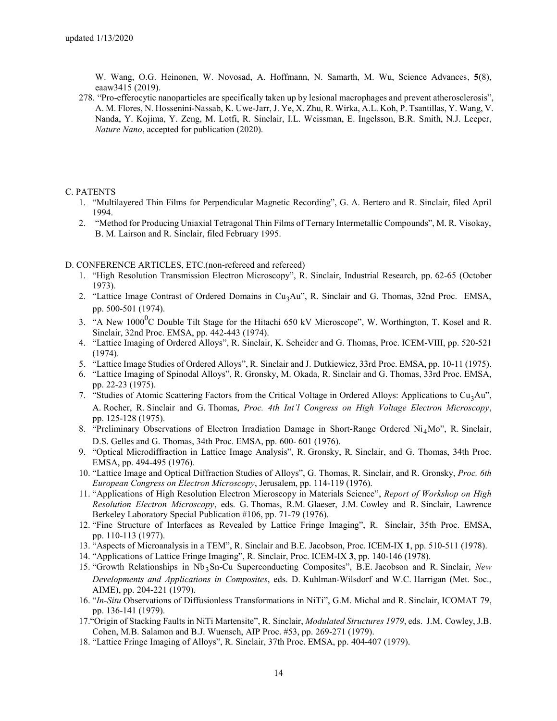W. Wang, O.G. Heinonen, W. Novosad, A. Hoffmann, N. Samarth, M. Wu, Science Advances, **5**(8), eaaw3415 (2019).

278. "Pro-efferocytic nanoparticles are specifically taken up by lesional macrophages and prevent atherosclerosis", A. M. Flores, N. Hossenini-Nassab, K. Uwe-Jarr, J. Ye, X. Zhu, R. Wirka, A.L. Koh, P. Tsantillas, Y. Wang, V. Nanda, Y. Kojima, Y. Zeng, M. Lotfi, R. Sinclair, I.L. Weissman, E. Ingelsson, B.R. Smith, N.J. Leeper, *Nature Nano*, accepted for publication (2020).

## C. PATENTS

- 1. "Multilayered Thin Films for Perpendicular Magnetic Recording", G. A. Bertero and R. Sinclair, filed April 1994.
- 2. "Method for Producing Uniaxial Tetragonal Thin Films of Ternary Intermetallic Compounds", M. R. Visokay, B. M. Lairson and R. Sinclair, filed February 1995.

## D. CONFERENCE ARTICLES, ETC.(non-refereed and refereed)

- 1. "High Resolution Transmission Electron Microscopy", R. Sinclair, Industrial Research, pp. 62-65 (October 1973).
- 2. "Lattice Image Contrast of Ordered Domains in Cu<sub>3</sub>Au", R. Sinclair and G. Thomas, 32nd Proc. EMSA, pp. 500-501 (1974).
- 3. "A New  $1000^0C$  Double Tilt Stage for the Hitachi 650 kV Microscope", W. Worthington, T. Kosel and R. Sinclair, 32nd Proc. EMSA, pp. 442-443 (1974).
- 4. "Lattice Imaging of Ordered Alloys", R. Sinclair, K. Scheider and G. Thomas, Proc. ICEM-VIII, pp. 520-521 (1974).
- 5. "Lattice Image Studies of Ordered Alloys", R. Sinclair and J. Dutkiewicz, 33rd Proc. EMSA, pp. 10-11 (1975).
- 6. "Lattice Imaging of Spinodal Alloys", R. Gronsky, M. Okada, R. Sinclair and G. Thomas, 33rd Proc. EMSA, pp. 22-23 (1975).
- 7. "Studies of Atomic Scattering Factors from the Critical Voltage in Ordered Alloys: Applications to  $Cu<sub>3</sub>Au$ ", A. Rocher, R. Sinclair and G. Thomas, *Proc. 4th Int'l Congress on High Voltage Electron Microscopy*, pp. 125-128 (1975).
- 8. "Preliminary Observations of Electron Irradiation Damage in Short-Range Ordered Ni<sub>4</sub>Mo", R. Sinclair, D.S. Gelles and G. Thomas, 34th Proc. EMSA, pp. 600- 601 (1976).
- 9. "Optical Microdiffraction in Lattice Image Analysis", R. Gronsky, R. Sinclair, and G. Thomas, 34th Proc. EMSA, pp. 494-495 (1976).
- 10. "Lattice Image and Optical Diffraction Studies of Alloys", G. Thomas, R. Sinclair, and R. Gronsky, *Proc. 6th European Congress on Electron Microscopy*, Jerusalem, pp. 114-119 (1976).
- 11. "Applications of High Resolution Electron Microscopy in Materials Science", *Report of Workshop on High Resolution Electron Microscopy*, eds. G. Thomas, R.M. Glaeser, J.M. Cowley and R. Sinclair, Lawrence Berkeley Laboratory Special Publication #106, pp. 71-79 (1976).
- 12. "Fine Structure of Interfaces as Revealed by Lattice Fringe Imaging", R. Sinclair, 35th Proc. EMSA, pp. 110-113 (1977).
- 13. "Aspects of Microanalysis in a TEM", R. Sinclair and B.E. Jacobson, Proc. ICEM-IX **1**, pp. 510-511 (1978).
- 14. "Applications of Lattice Fringe Imaging", R. Sinclair, Proc. ICEM-IX **3**, pp. 140-146 (1978).
- 15. "Growth Relationships in Nb<sub>3</sub>Sn-Cu Superconducting Composites", B.E. Jacobson and R. Sinclair, *New Developments and Applications in Composites*, eds. D. Kuhlman-Wilsdorf and W.C. Harrigan (Met. Soc., AIME), pp. 204-221 (1979).
- 16. "*In-Situ* Observations of Diffusionless Transformations in NiTi", G.M. Michal and R. Sinclair, ICOMAT 79, pp. 136-141 (1979).
- 17."Origin of Stacking Faults in NiTi Martensite", R. Sinclair, *Modulated Structures 1979*, eds. J.M. Cowley, J.B. Cohen, M.B. Salamon and B.J. Wuensch, AIP Proc. #53, pp. 269-271 (1979).
- 18. "Lattice Fringe Imaging of Alloys", R. Sinclair, 37th Proc. EMSA, pp. 404-407 (1979).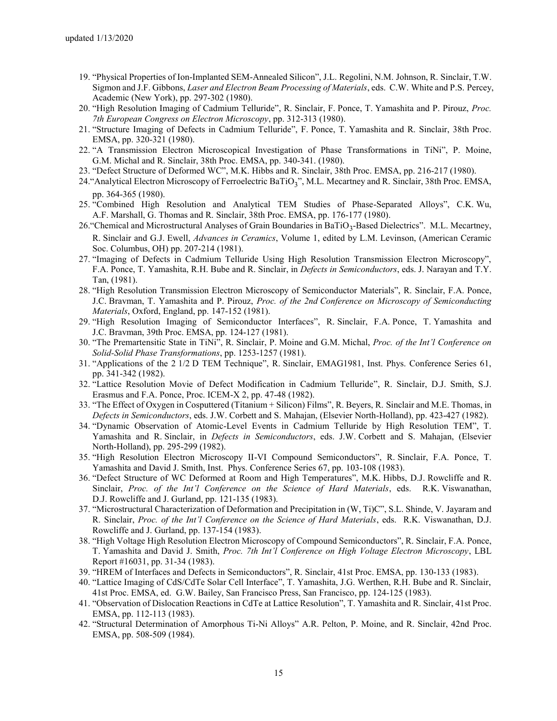- 19. "Physical Properties of Ion-Implanted SEM-Annealed Silicon", J.L. Regolini, N.M. Johnson, R. Sinclair, T.W. Sigmon and J.F. Gibbons, *Laser and Electron Beam Processing of Materials*, eds. C.W. White and P.S. Percey, Academic (New York), pp. 297-302 (1980).
- 20. "High Resolution Imaging of Cadmium Telluride", R. Sinclair, F. Ponce, T. Yamashita and P. Pirouz, *Proc. 7th European Congress on Electron Microscopy*, pp. 312-313 (1980).
- 21. "Structure Imaging of Defects in Cadmium Telluride", F. Ponce, T. Yamashita and R. Sinclair, 38th Proc. EMSA, pp. 320-321 (1980).
- 22. "A Transmission Electron Microscopical Investigation of Phase Transformations in TiNi", P. Moine, G.M. Michal and R. Sinclair, 38th Proc. EMSA, pp. 340-341. (1980).
- 23. "Defect Structure of Deformed WC", M.K. Hibbs and R. Sinclair, 38th Proc. EMSA, pp. 216-217 (1980).
- 24. "Analytical Electron Microscopy of Ferroelectric BaTiO<sub>3</sub>", M.L. Mecartney and R. Sinclair, 38th Proc. EMSA, pp. 364-365 (1980).
- 25. "Combined High Resolution and Analytical TEM Studies of Phase-Separated Alloys", C.K. Wu, A.F. Marshall, G. Thomas and R. Sinclair, 38th Proc. EMSA, pp. 176-177 (1980).
- 26. "Chemical and Microstructural Analyses of Grain Boundaries in BaTiO<sub>3</sub>-Based Dielectrics". M.L. Mecartney, R. Sinclair and G.J. Ewell, *Advances in Ceramics*, Volume 1, edited by L.M. Levinson, (American Ceramic Soc. Columbus, OH) pp. 207-214 (1981).
- 27. "Imaging of Defects in Cadmium Telluride Using High Resolution Transmission Electron Microscopy", F.A. Ponce, T. Yamashita, R.H. Bube and R. Sinclair, in *Defects in Semiconductors*, eds. J. Narayan and T.Y. Tan, (1981).
- 28. "High Resolution Transmission Electron Microscopy of Semiconductor Materials", R. Sinclair, F.A. Ponce, J.C. Bravman, T. Yamashita and P. Pirouz, *Proc. of the 2nd Conference on Microscopy of Semiconducting Materials*, Oxford, England, pp. 147-152 (1981).
- 29. "High Resolution Imaging of Semiconductor Interfaces", R. Sinclair, F.A. Ponce, T. Yamashita and J.C. Bravman, 39th Proc. EMSA, pp. 124-127 (1981).
- 30. "The Premartensitic State in TiNi", R. Sinclair, P. Moine and G.M. Michal, *Proc. of the Int'l Conference on Solid-Solid Phase Transformations*, pp. 1253-1257 (1981).
- 31. "Applications of the 2 1/2 D TEM Technique", R. Sinclair, EMAG1981, Inst. Phys. Conference Series 61, pp. 341-342 (1982).
- 32. "Lattice Resolution Movie of Defect Modification in Cadmium Telluride", R. Sinclair, D.J. Smith, S.J. Erasmus and F.A. Ponce, Proc. ICEM-X 2, pp. 47-48 (1982).
- 33. "The Effect of Oxygen in Cosputtered (Titanium + Silicon) Films", R. Beyers, R. Sinclair and M.E. Thomas, in *Defects in Semiconductors*, eds. J.W. Corbett and S. Mahajan, (Elsevier North-Holland), pp. 423-427 (1982).
- 34. "Dynamic Observation of Atomic-Level Events in Cadmium Telluride by High Resolution TEM", T. Yamashita and R. Sinclair, in *Defects in Semiconductors*, eds. J.W. Corbett and S. Mahajan, (Elsevier North-Holland), pp. 295-299 (1982).
- 35. "High Resolution Electron Microscopy II-VI Compound Semiconductors", R. Sinclair, F.A. Ponce, T. Yamashita and David J. Smith, Inst. Phys. Conference Series 67, pp. 103-108 (1983).
- 36. "Defect Structure of WC Deformed at Room and High Temperatures", M.K. Hibbs, D.J. Rowcliffe and R. Sinclair, *Proc. of the Int'l Conference on the Science of Hard Materials*, eds. R.K. Viswanathan, D.J. Rowcliffe and J. Gurland, pp. 121-135 (1983).
- 37. "Microstructural Characterization of Deformation and Precipitation in (W, Ti)C", S.L. Shinde, V. Jayaram and R. Sinclair, *Proc. of the Int'l Conference on the Science of Hard Materials*, eds. R.K. Viswanathan, D.J. Rowcliffe and J. Gurland, pp. 137-154 (1983).
- 38. "High Voltage High Resolution Electron Microscopy of Compound Semiconductors", R. Sinclair, F.A. Ponce, T. Yamashita and David J. Smith, *Proc. 7th Int'l Conference on High Voltage Electron Microscopy*, LBL Report #16031, pp. 31-34 (1983).
- 39. "HREM of Interfaces and Defects in Semiconductors", R. Sinclair, 41st Proc. EMSA, pp. 130-133 (1983).
- 40. "Lattice Imaging of CdS/CdTe Solar Cell Interface", T. Yamashita, J.G. Werthen, R.H. Bube and R. Sinclair, 41st Proc. EMSA, ed. G.W. Bailey, San Francisco Press, San Francisco, pp. 124-125 (1983).
- 41. "Observation of Dislocation Reactions in CdTe at Lattice Resolution", T. Yamashita and R. Sinclair, 41st Proc. EMSA, pp. 112-113 (1983).
- 42. "Structural Determination of Amorphous Ti-Ni Alloys" A.R. Pelton, P. Moine, and R. Sinclair, 42nd Proc. EMSA, pp. 508-509 (1984).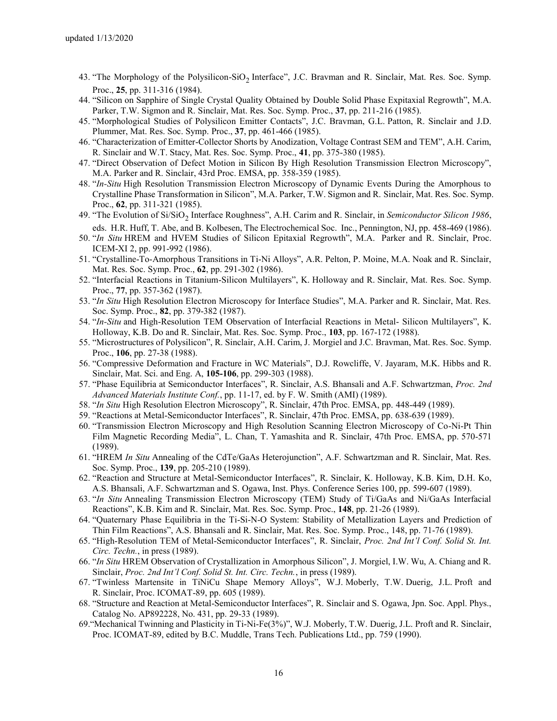- 43. "The Morphology of the Polysilicon-SiO<sub>2</sub> Interface", J.C. Bravman and R. Sinclair, Mat. Res. Soc. Symp. Proc., **25**, pp. 311-316 (1984).
- 44. "Silicon on Sapphire of Single Crystal Quality Obtained by Double Solid Phase Expitaxial Regrowth", M.A. Parker, T.W. Sigmon and R. Sinclair, Mat. Res. Soc. Symp. Proc., **37**, pp. 211-216 (1985).
- 45. "Morphological Studies of Polysilicon Emitter Contacts", J.C. Bravman, G.L. Patton, R. Sinclair and J.D. Plummer, Mat. Res. Soc. Symp. Proc., **37**, pp. 461-466 (1985).
- 46. "Characterization of Emitter-Collector Shorts by Anodization, Voltage Contrast SEM and TEM", A.H. Carim, R. Sinclair and W.T. Stacy, Mat. Res. Soc. Symp. Proc., **41**, pp. 375-380 (1985).
- 47. "Direct Observation of Defect Motion in Silicon By High Resolution Transmission Electron Microscopy", M.A. Parker and R. Sinclair, 43rd Proc. EMSA, pp. 358-359 (1985).
- 48. "*In-Situ* High Resolution Transmission Electron Microscopy of Dynamic Events During the Amorphous to Crystalline Phase Transformation in Silicon", M.A. Parker, T.W. Sigmon and R. Sinclair, Mat. Res. Soc. Symp. Proc., **62**, pp. 311-321 (1985).
- 49. "The Evolution of Si/SiO<sub>2</sub> Interface Roughness", A.H. Carim and R. Sinclair, in *Semiconductor Silicon 1986*, eds. H.R. Huff, T. Abe, and B. Kolbesen, The Electrochemical Soc. Inc., Pennington, NJ, pp. 458-469 (1986).
- 50. "*In Situ* HREM and HVEM Studies of Silicon Epitaxial Regrowth", M.A. Parker and R. Sinclair, Proc. ICEM-XI 2, pp. 991-992 (1986).
- 51. "Crystalline-To-Amorphous Transitions in Ti-Ni Alloys", A.R. Pelton, P. Moine, M.A. Noak and R. Sinclair, Mat. Res. Soc. Symp. Proc., **62**, pp. 291-302 (1986).
- 52. "Interfacial Reactions in Titanium-Silicon Multilayers", K. Holloway and R. Sinclair, Mat. Res. Soc. Symp. Proc., **77**, pp. 357-362 (1987).
- 53. "*In Situ* High Resolution Electron Microscopy for Interface Studies", M.A. Parker and R. Sinclair, Mat. Res. Soc. Symp. Proc., **82**, pp. 379-382 (1987).
- 54. "*In-Situ* and High-Resolution TEM Observation of Interfacial Reactions in Metal- Silicon Multilayers", K. Holloway, K.B. Do and R. Sinclair, Mat. Res. Soc. Symp. Proc., **103**, pp. 167-172 (1988).
- 55. "Microstructures of Polysilicon", R. Sinclair, A.H. Carim, J. Morgiel and J.C. Bravman, Mat. Res. Soc. Symp. Proc., **106**, pp. 27-38 (1988).
- 56. "Compressive Deformation and Fracture in WC Materials", D.J. Rowcliffe, V. Jayaram, M.K. Hibbs and R. Sinclair, Mat. Sci. and Eng. A, **105-106**, pp. 299-303 (1988).
- 57. "Phase Equilibria at Semiconductor Interfaces", R. Sinclair, A.S. Bhansali and A.F. Schwartzman, *Proc. 2nd Advanced Materials Institute Conf.*, pp. 11-17, ed. by F. W. Smith (AMI) (1989).
- 58. "*In Situ* High Resolution Electron Microscopy", R. Sinclair, 47th Proc. EMSA, pp. 448-449 (1989).
- 59. "Reactions at Metal-Semiconductor Interfaces", R. Sinclair, 47th Proc. EMSA, pp. 638-639 (1989).
- 60. "Transmission Electron Microscopy and High Resolution Scanning Electron Microscopy of Co-Ni-Pt Thin Film Magnetic Recording Media", L. Chan, T. Yamashita and R. Sinclair, 47th Proc. EMSA, pp. 570-571 (1989).
- 61. "HREM *In Situ* Annealing of the CdTe/GaAs Heterojunction", A.F. Schwartzman and R. Sinclair, Mat. Res. Soc. Symp. Proc., **139**, pp. 205-210 (1989).
- 62. "Reaction and Structure at Metal-Semiconductor Interfaces", R. Sinclair, K. Holloway, K.B. Kim, D.H. Ko, A.S. Bhansali, A.F. Schwartzman and S. Ogawa, Inst. Phys. Conference Series 100, pp. 599-607 (1989).
- 63. "*In Situ* Annealing Transmission Electron Microscopy (TEM) Study of Ti/GaAs and Ni/GaAs Interfacial Reactions", K.B. Kim and R. Sinclair, Mat. Res. Soc. Symp. Proc., **148**, pp. 21-26 (1989).
- 64. "Quaternary Phase Equilibria in the Ti-Si-N-O System: Stability of Metallization Layers and Prediction of Thin Film Reactions", A.S. Bhansali and R. Sinclair, Mat. Res. Soc. Symp. Proc., 148, pp. 71-76 (1989).
- 65. "High-Resolution TEM of Metal-Semiconductor Interfaces", R. Sinclair, *Proc. 2nd Int'l Conf. Solid St. Int. Circ. Techn.*, in press (1989).
- 66. "*In Situ* HREM Observation of Crystallization in Amorphous Silicon", J. Morgiel, I.W. Wu, A. Chiang and R. Sinclair, *Proc. 2nd Int'l Conf. Solid St. Int. Circ. Techn.*, in press (1989).
- 67. "Twinless Martensite in TiNiCu Shape Memory Alloys", W.J. Moberly, T.W. Duerig, J.L. Proft and R. Sinclair, Proc. ICOMAT-89, pp. 605 (1989).
- 68. "Structure and Reaction at Metal-Semiconductor Interfaces", R. Sinclair and S. Ogawa, Jpn. Soc. Appl. Phys., Catalog No. AP892228, No. 431, pp. 29-33 (1989).
- 69."Mechanical Twinning and Plasticity in Ti-Ni-Fe(3%)", W.J. Moberly, T.W. Duerig, J.L. Proft and R. Sinclair, Proc. ICOMAT-89, edited by B.C. Muddle, Trans Tech. Publications Ltd., pp. 759 (1990).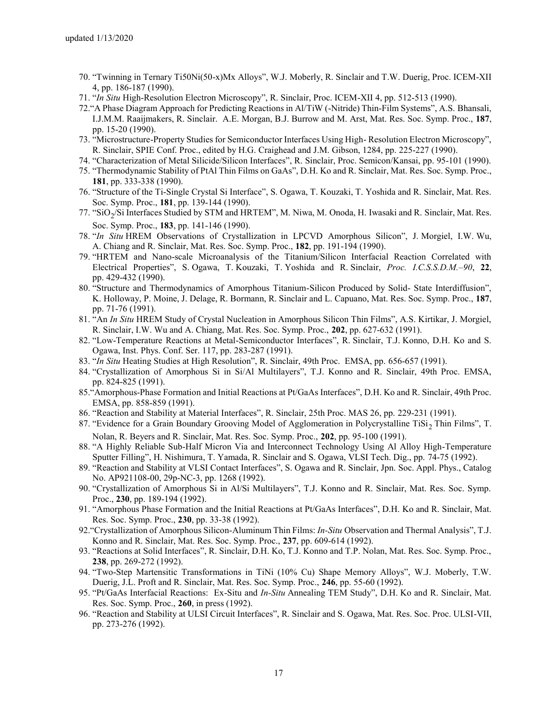- 70. "Twinning in Ternary Ti50Ni(50-x)Mx Alloys", W.J. Moberly, R. Sinclair and T.W. Duerig, Proc. ICEM-XII 4, pp. 186-187 (1990).
- 71. "*In Situ* High-Resolution Electron Microscopy", R. Sinclair, Proc. ICEM-XII 4, pp. 512-513 (1990).
- 72."A Phase Diagram Approach for Predicting Reactions in Al/TiW (-Nitride) Thin-Film Systems", A.S. Bhansali, I.J.M.M. Raaijmakers, R. Sinclair. A.E. Morgan, B.J. Burrow and M. Arst, Mat. Res. Soc. Symp. Proc., **187**, pp. 15-20 (1990).
- 73. "Microstructure-Property Studies for Semiconductor Interfaces Using High- Resolution Electron Microscopy", R. Sinclair, SPIE Conf. Proc., edited by H.G. Craighead and J.M. Gibson, 1284, pp. 225-227 (1990).
- 74. "Characterization of Metal Silicide/Silicon Interfaces", R. Sinclair, Proc. Semicon/Kansai, pp. 95-101 (1990).
- 75. "Thermodynamic Stability of PtAl Thin Films on GaAs", D.H. Ko and R. Sinclair, Mat. Res. Soc. Symp. Proc., **181**, pp. 333-338 (1990).
- 76. "Structure of the Ti-Single Crystal Si Interface", S. Ogawa, T. Kouzaki, T. Yoshida and R. Sinclair, Mat. Res. Soc. Symp. Proc., **181**, pp. 139-144 (1990).
- 77. "SiO<sub>2</sub>/Si Interfaces Studied by STM and HRTEM", M. Niwa, M. Onoda, H. Iwasaki and R. Sinclair, Mat. Res. Soc. Symp. Proc., **183**, pp. 141-146 (1990).
- 78. "*In Situ* HREM Observations of Crystallization in LPCVD Amorphous Silicon", J. Morgiel, I.W. Wu, A. Chiang and R. Sinclair, Mat. Res. Soc. Symp. Proc., **182**, pp. 191-194 (1990).
- 79. "HRTEM and Nano-scale Microanalysis of the Titanium/Silicon Interfacial Reaction Correlated with Electrical Properties", S. Ogawa, T. Kouzaki, T. Yoshida and R. Sinclair, *Proc. I.C.S.S.D.M.–90*, **22**, pp. 429-432 (1990).
- 80. "Structure and Thermodynamics of Amorphous Titanium-Silicon Produced by Solid- State Interdiffusion", K. Holloway, P. Moine, J. Delage, R. Bormann, R. Sinclair and L. Capuano, Mat. Res. Soc. Symp. Proc., **187**, pp. 71-76 (1991).
- 81. "An *In Situ* HREM Study of Crystal Nucleation in Amorphous Silicon Thin Films", A.S. Kirtikar, J. Morgiel, R. Sinclair, I.W. Wu and A. Chiang, Mat. Res. Soc. Symp. Proc., **202**, pp. 627-632 (1991).
- 82. "Low-Temperature Reactions at Metal-Semiconductor Interfaces", R. Sinclair, T.J. Konno, D.H. Ko and S. Ogawa, Inst. Phys. Conf. Ser. 117, pp. 283-287 (1991).
- 83. "*In Situ* Heating Studies at High Resolution", R. Sinclair, 49th Proc. EMSA, pp. 656-657 (1991).
- 84. "Crystallization of Amorphous Si in Si/Al Multilayers", T.J. Konno and R. Sinclair, 49th Proc. EMSA, pp. 824-825 (1991).
- 85."Amorphous-Phase Formation and Initial Reactions at Pt/GaAs Interfaces", D.H. Ko and R. Sinclair, 49th Proc. EMSA, pp. 858-859 (1991).
- 86. "Reaction and Stability at Material Interfaces", R. Sinclair, 25th Proc. MAS 26, pp. 229-231 (1991).
- 87. "Evidence for a Grain Boundary Grooving Model of Agglomeration in Polycrystalline TiSi<sub>2</sub> Thin Films", T. Nolan, R. Beyers and R. Sinclair, Mat. Res. Soc. Symp. Proc., **202**, pp. 95-100 (1991).
- 88. "A Highly Reliable Sub-Half Micron Via and Interconnect Technology Using Al Alloy High-Temperature Sputter Filling", H. Nishimura, T. Yamada, R. Sinclair and S. Ogawa, VLSI Tech. Dig., pp. 74-75 (1992).
- 89. "Reaction and Stability at VLSI Contact Interfaces", S. Ogawa and R. Sinclair, Jpn. Soc. Appl. Phys., Catalog No. AP921108-00, 29p-NC-3, pp. 1268 (1992).
- 90. "Crystallization of Amorphous Si in Al/Si Multilayers", T.J. Konno and R. Sinclair, Mat. Res. Soc. Symp. Proc., **230**, pp. 189-194 (1992).
- 91. "Amorphous Phase Formation and the Initial Reactions at Pt/GaAs Interfaces", D.H. Ko and R. Sinclair, Mat. Res. Soc. Symp. Proc., **230**, pp. 33-38 (1992).
- 92."Crystallization of Amorphous Silicon-Aluminum Thin Films: *In-Situ* Observation and Thermal Analysis", T.J. Konno and R. Sinclair, Mat. Res. Soc. Symp. Proc., **237**, pp. 609-614 (1992).
- 93. "Reactions at Solid Interfaces", R. Sinclair, D.H. Ko, T.J. Konno and T.P. Nolan, Mat. Res. Soc. Symp. Proc., **238**, pp. 269-272 (1992).
- 94. "Two-Step Martensitic Transformations in TiNi (10% Cu) Shape Memory Alloys", W.J. Moberly, T.W. Duerig, J.L. Proft and R. Sinclair, Mat. Res. Soc. Symp. Proc., **246**, pp. 55-60 (1992).
- 95. "Pt/GaAs Interfacial Reactions: Ex-Situ and *In-Situ* Annealing TEM Study", D.H. Ko and R. Sinclair, Mat. Res. Soc. Symp. Proc., **260**, in press (1992).
- 96. "Reaction and Stability at ULSI Circuit Interfaces", R. Sinclair and S. Ogawa, Mat. Res. Soc. Proc. ULSI-VII, pp. 273-276 (1992).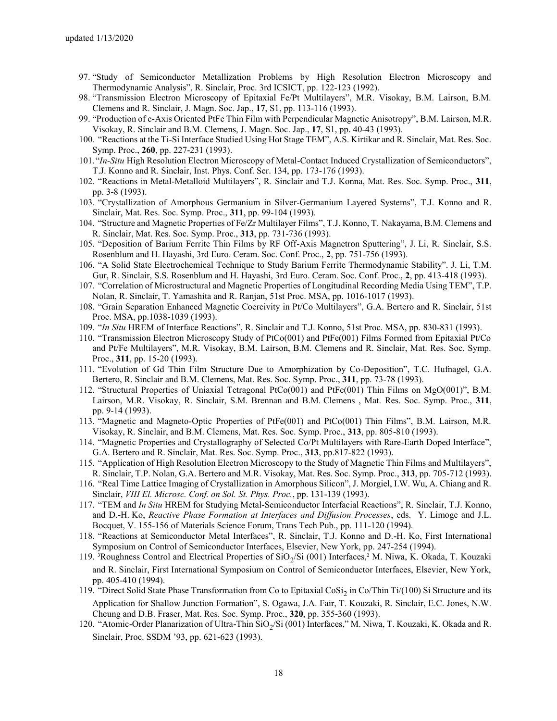- 97. "Study of Semiconductor Metallization Problems by High Resolution Electron Microscopy and Thermodynamic Analysis", R. Sinclair, Proc. 3rd ICSICT, pp. 122-123 (1992).
- 98. "Transmission Electron Microscopy of Epitaxial Fe/Pt Multilayers", M.R. Visokay, B.M. Lairson, B.M. Clemens and R. Sinclair, J. Magn. Soc. Jap., **17**, S1, pp. 113-116 (1993).
- 99. "Production of c-Axis Oriented PtFe Thin Film with Perpendicular Magnetic Anisotropy", B.M. Lairson, M.R. Visokay, R. Sinclair and B.M. Clemens, J. Magn. Soc. Jap., **17**, S1, pp. 40-43 (1993).
- 100. "Reactions at the Ti-Si Interface Studied Using Hot Stage TEM", A.S. Kirtikar and R. Sinclair, Mat. Res. Soc. Symp. Proc., **260**, pp. 227-231 (1993).
- 101."*In-Situ* High Resolution Electron Microscopy of Metal-Contact Induced Crystallization of Semiconductors", T.J. Konno and R. Sinclair, Inst. Phys. Conf. Ser. 134, pp. 173-176 (1993).
- 102. "Reactions in Metal-Metalloid Multilayers", R. Sinclair and T.J. Konna, Mat. Res. Soc. Symp. Proc., **311**, pp. 3-8 (1993).
- 103. "Crystallization of Amorphous Germanium in Silver-Germanium Layered Systems", T.J. Konno and R. Sinclair, Mat. Res. Soc. Symp. Proc., **311**, pp. 99-104 (1993).
- 104. "Structure and Magnetic Properties of Fe/Zr Multilayer Films", T.J. Konno, T. Nakayama, B.M. Clemens and R. Sinclair, Mat. Res. Soc. Symp. Proc., **313**, pp. 731-736 (1993).
- 105. "Deposition of Barium Ferrite Thin Films by RF Off-Axis Magnetron Sputtering", J. Li, R. Sinclair, S.S. Rosenblum and H. Hayashi, 3rd Euro. Ceram. Soc. Conf. Proc., **2**, pp. 751-756 (1993).
- 106. "A Solid State Electrochemical Technique to Study Barium Ferrite Thermodynamic Stability". J. Li, T.M. Gur, R. Sinclair, S.S. Rosenblum and H. Hayashi, 3rd Euro. Ceram. Soc. Conf. Proc., **2**, pp. 413-418 (1993).
- 107. "Correlation of Microstructural and Magnetic Properties of Longitudinal Recording Media Using TEM", T.P. Nolan, R. Sinclair, T. Yamashita and R. Ranjan, 51st Proc. MSA, pp. 1016-1017 (1993).
- 108. "Grain Separation Enhanced Magnetic Coercivity in Pt/Co Multilayers", G.A. Bertero and R. Sinclair, 51st Proc. MSA, pp.1038-1039 (1993).
- 109. "*In Situ* HREM of Interface Reactions", R. Sinclair and T.J. Konno, 51st Proc. MSA, pp. 830-831 (1993).
- 110. "Transmission Electron Microscopy Study of PtCo(001) and PtFe(001) Films Formed from Epitaxial Pt/Co and Pt/Fe Multilayers", M.R. Visokay, B.M. Lairson, B.M. Clemens and R. Sinclair, Mat. Res. Soc. Symp. Proc., **311**, pp. 15-20 (1993).
- 111. "Evolution of Gd Thin Film Structure Due to Amorphization by Co-Deposition", T.C. Hufnagel, G.A. Bertero, R. Sinclair and B.M. Clemens, Mat. Res. Soc. Symp. Proc., **311**, pp. 73-78 (1993).
- 112. "Structural Properties of Uniaxial Tetragonal PtCo(001) and PtFe(001) Thin Films on MgO(001)", B.M. Lairson, M.R. Visokay, R. Sinclair, S.M. Brennan and B.M. Clemens , Mat. Res. Soc. Symp. Proc., **311**, pp. 9-14 (1993).
- 113. "Magnetic and Magneto-Optic Properties of PtFe(001) and PtCo(001) Thin Films", B.M. Lairson, M.R. Visokay, R. Sinclair, and B.M. Clemens, Mat. Res. Soc. Symp. Proc., **313**, pp. 805-810 (1993).
- 114. "Magnetic Properties and Crystallography of Selected Co/Pt Multilayers with Rare-Earth Doped Interface", G.A. Bertero and R. Sinclair, Mat. Res. Soc. Symp. Proc., **313**, pp.817-822 (1993).
- 115. "Application of High Resolution Electron Microscopy to the Study of Magnetic Thin Films and Multilayers", R. Sinclair, T.P. Nolan, G.A. Bertero and M.R. Visokay, Mat. Res. Soc. Symp. Proc., **313**, pp. 705-712 (1993).
- 116. "Real Time Lattice Imaging of Crystallization in Amorphous Silicon", J. Morgiel, I.W. Wu, A. Chiang and R. Sinclair, *VIII El. Microsc. Conf. on Sol. St. Phys. Proc.*, pp. 131-139 (1993).
- 117. "TEM and *In Situ* HREM for Studying Metal-Semiconductor Interfacial Reactions", R. Sinclair, T.J. Konno, and D.-H. Ko, *Reactive Phase Formation at Interfaces and Diffusion Processes*, eds. Y. Limoge and J.L. Bocquet, V. 155-156 of Materials Science Forum, Trans Tech Pub., pp. 111-120 (1994).
- 118. "Reactions at Semiconductor Metal Interfaces", R. Sinclair, T.J. Konno and D.-H. Ko, First International Symposium on Control of Semiconductor Interfaces, Elsevier, New York, pp. 247-254 (1994).
- 119. <sup>3</sup>Roughness Control and Electrical Properties of SiO<sub>2</sub>/Si (001) Interfaces,<sup>2</sup> M. Niwa, K. Okada, T. Kouzaki and R. Sinclair, First International Symposium on Control of Semiconductor Interfaces, Elsevier, New York, pp. 405-410 (1994).
- 119. "Direct Solid State Phase Transformation from Co to Epitaxial CoSi<sub>2</sub> in Co/Thin Ti/(100) Si Structure and its Application for Shallow Junction Formation", S. Ogawa, J.A. Fair, T. Kouzaki, R. Sinclair, E.C. Jones, N.W. Cheung and D.B. Fraser, Mat. Res. Soc. Symp. Proc., **320**, pp. 355-360 (1993).
- 120. "Atomic-Order Planarization of Ultra-Thin SiO<sub>2</sub>/Si (001) Interfaces," M. Niwa, T. Kouzaki, K. Okada and R. Sinclair, Proc. SSDM '93, pp. 621-623 (1993).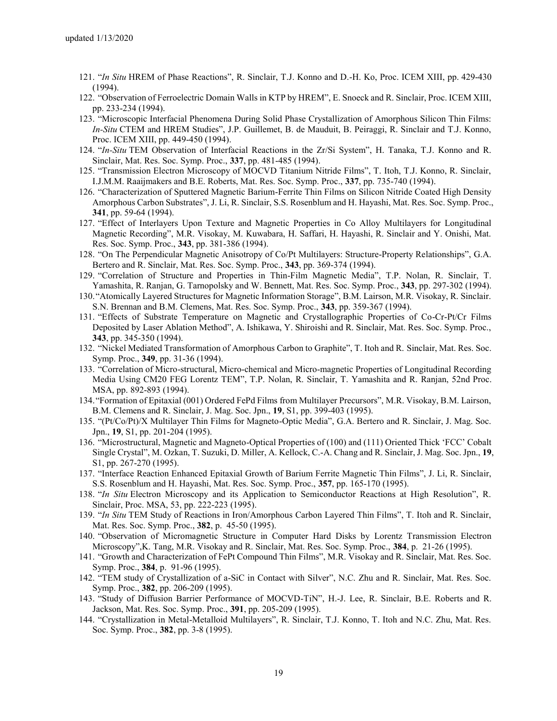- 121. "*In Situ* HREM of Phase Reactions", R. Sinclair, T.J. Konno and D.-H. Ko, Proc. ICEM XIII, pp. 429-430 (1994).
- 122. "Observation of Ferroelectric Domain Walls in KTP by HREM", E. Snoeck and R. Sinclair, Proc. ICEM XIII, pp. 233-234 (1994).
- 123. "Microscopic Interfacial Phenomena During Solid Phase Crystallization of Amorphous Silicon Thin Films: *In-Situ* CTEM and HREM Studies", J.P. Guillemet, B. de Mauduit, B. Peiraggi, R. Sinclair and T.J. Konno, Proc. ICEM XIII, pp. 449-450 (1994).
- 124. "*In-Situ* TEM Observation of Interfacial Reactions in the Zr/Si System", H. Tanaka, T.J. Konno and R. Sinclair, Mat. Res. Soc. Symp. Proc., **337**, pp. 481-485 (1994).
- 125. "Transmission Electron Microscopy of MOCVD Titanium Nitride Films", T. Itoh, T.J. Konno, R. Sinclair, I.J.M.M. Raaijmakers and B.E. Roberts, Mat. Res. Soc. Symp. Proc., **337**, pp. 735-740 (1994).
- 126. "Characterization of Sputtered Magnetic Barium-Ferrite Thin Films on Silicon Nitride Coated High Density Amorphous Carbon Substrates", J. Li, R. Sinclair, S.S. Rosenblum and H. Hayashi, Mat. Res. Soc. Symp. Proc., **341**, pp. 59-64 (1994).
- 127. "Effect of Interlayers Upon Texture and Magnetic Properties in Co Alloy Multilayers for Longitudinal Magnetic Recording", M.R. Visokay, M. Kuwabara, H. Saffari, H. Hayashi, R. Sinclair and Y. Onishi, Mat. Res. Soc. Symp. Proc., **343**, pp. 381-386 (1994).
- 128. "On The Perpendicular Magnetic Anisotropy of Co/Pt Multilayers: Structure-Property Relationships", G.A. Bertero and R. Sinclair, Mat. Res. Soc. Symp. Proc., **343**, pp. 369-374 (1994).
- 129. "Correlation of Structure and Properties in Thin-Film Magnetic Media", T.P. Nolan, R. Sinclair, T. Yamashita, R. Ranjan, G. Tarnopolsky and W. Bennett, Mat. Res. Soc. Symp. Proc., **343**, pp. 297-302 (1994).
- 130."Atomically Layered Structures for Magnetic Information Storage", B.M. Lairson, M.R. Visokay, R. Sinclair. S.N. Brennan and B.M. Clemens, Mat. Res. Soc. Symp. Proc., **343**, pp. 359-367 (1994).
- 131. "Effects of Substrate Temperature on Magnetic and Crystallographic Properties of Co-Cr-Pt/Cr Films Deposited by Laser Ablation Method", A. Ishikawa, Y. Shiroishi and R. Sinclair, Mat. Res. Soc. Symp. Proc., **343**, pp. 345-350 (1994).
- 132. "Nickel Mediated Transformation of Amorphous Carbon to Graphite", T. Itoh and R. Sinclair, Mat. Res. Soc. Symp. Proc., **349**, pp. 31-36 (1994).
- 133. "Correlation of Micro-structural, Micro-chemical and Micro-magnetic Properties of Longitudinal Recording Media Using CM20 FEG Lorentz TEM", T.P. Nolan, R. Sinclair, T. Yamashita and R. Ranjan, 52nd Proc. MSA, pp. 892-893 (1994).
- 134."Formation of Epitaxial (001) Ordered FePd Films from Multilayer Precursors", M.R. Visokay, B.M. Lairson, B.M. Clemens and R. Sinclair, J. Mag. Soc. Jpn., **19**, S1, pp. 399-403 (1995).
- 135. "(Pt/Co/Pt)/X Multilayer Thin Films for Magneto-Optic Media", G.A. Bertero and R. Sinclair, J. Mag. Soc. Jpn., **19**, S1, pp. 201-204 (1995).
- 136. "Microstructural, Magnetic and Magneto-Optical Properties of (100) and (111) Oriented Thick 'FCC' Cobalt Single Crystal", M. Ozkan, T. Suzuki, D. Miller, A. Kellock, C.-A. Chang and R. Sinclair, J. Mag. Soc. Jpn., **19**, S1, pp. 267-270 (1995).
- 137. "Interface Reaction Enhanced Epitaxial Growth of Barium Ferrite Magnetic Thin Films", J. Li, R. Sinclair, S.S. Rosenblum and H. Hayashi, Mat. Res. Soc. Symp. Proc., **357**, pp. 165-170 (1995).
- 138. "*In Situ* Electron Microscopy and its Application to Semiconductor Reactions at High Resolution", R. Sinclair, Proc. MSA, 53, pp. 222-223 (1995).
- 139. "*In Situ* TEM Study of Reactions in Iron/Amorphous Carbon Layered Thin Films", T. Itoh and R. Sinclair, Mat. Res. Soc. Symp. Proc., **382**, p. 45-50 (1995).
- 140. "Observation of Micromagnetic Structure in Computer Hard Disks by Lorentz Transmission Electron Microscopy",K. Tang, M.R. Visokay and R. Sinclair, Mat. Res. Soc. Symp. Proc., **384**, p. 21-26 (1995).
- 141. "Growth and Characterization of FePt Compound Thin Films", M.R. Visokay and R. Sinclair, Mat. Res. Soc. Symp. Proc., **384**, p. 91-96 (1995).
- 142. "TEM study of Crystallization of a-SiC in Contact with Silver", N.C. Zhu and R. Sinclair, Mat. Res. Soc. Symp. Proc., **382**, pp. 206-209 (1995).
- 143. "Study of Diffusion Barrier Performance of MOCVD-TiN", H.-J. Lee, R. Sinclair, B.E. Roberts and R. Jackson, Mat. Res. Soc. Symp. Proc., **391**, pp. 205-209 (1995).
- 144. "Crystallization in Metal-Metalloid Multilayers", R. Sinclair, T.J. Konno, T. Itoh and N.C. Zhu, Mat. Res. Soc. Symp. Proc., **382**, pp. 3-8 (1995).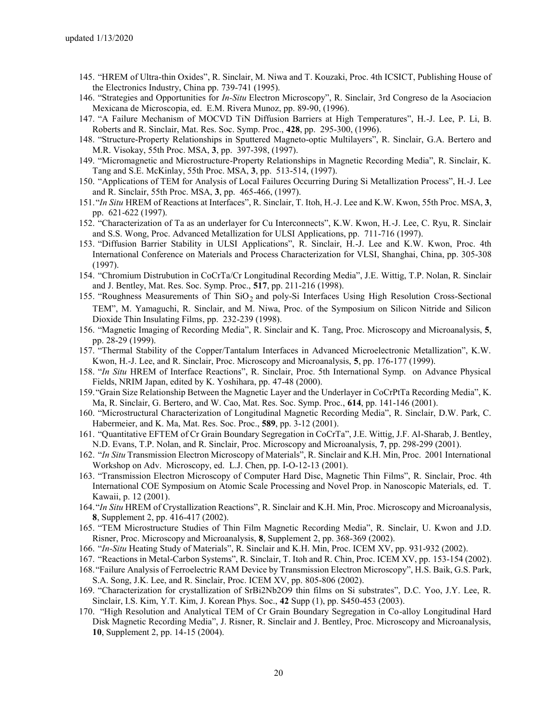- 145. "HREM of Ultra-thin Oxides", R. Sinclair, M. Niwa and T. Kouzaki, Proc. 4th ICSICT, Publishing House of the Electronics Industry, China pp. 739-741 (1995).
- 146. "Strategies and Opportunities for *In-Situ* Electron Microscopy", R. Sinclair, 3rd Congreso de la Asociacion Mexicana de Microscopia, ed. E.M. Rivera Munoz, pp. 89-90, (1996).
- 147. "A Failure Mechanism of MOCVD TiN Diffusion Barriers at High Temperatures", H.-J. Lee, P. Li, B. Roberts and R. Sinclair, Mat. Res. Soc. Symp. Proc., **428**, pp. 295-300, (1996).
- 148. "Structure-Property Relationships in Sputtered Magneto-optic Multilayers", R. Sinclair, G.A. Bertero and M.R. Visokay, 55th Proc. MSA, **3**, pp. 397-398, (1997).
- 149. "Micromagnetic and Microstructure-Property Relationships in Magnetic Recording Media", R. Sinclair, K. Tang and S.E. McKinlay, 55th Proc. MSA, **3**, pp. 513-514, (1997).
- 150. "Applications of TEM for Analysis of Local Failures Occurring During Si Metallization Process", H.-J. Lee and R. Sinclair, 55th Proc. MSA, **3**, pp. 465-466, (1997).
- 151."*In Situ* HREM of Reactions at Interfaces", R. Sinclair, T. Itoh, H.-J. Lee and K.W. Kwon, 55th Proc. MSA, **3**, pp. 621-622 (1997).
- 152. "Characterization of Ta as an underlayer for Cu Interconnects", K.W. Kwon, H.-J. Lee, C. Ryu, R. Sinclair and S.S. Wong, Proc. Advanced Metallization for ULSI Applications, pp. 711-716 (1997).
- 153. "Diffusion Barrier Stability in ULSI Applications", R. Sinclair, H.-J. Lee and K.W. Kwon, Proc. 4th International Conference on Materials and Process Characterization for VLSI, Shanghai, China, pp. 305-308 (1997).
- 154. "Chromium Distrubution in CoCrTa/Cr Longitudinal Recording Media", J.E. Wittig, T.P. Nolan, R. Sinclair and J. Bentley, Mat. Res. Soc. Symp. Proc., **517**, pp. 211-216 (1998).
- 155. "Roughness Measurements of Thin  $SiO<sub>2</sub>$  and poly-Si Interfaces Using High Resolution Cross-Sectional TEM", M. Yamaguchi, R. Sinclair, and M. Niwa, Proc. of the Symposium on Silicon Nitride and Silicon Dioxide Thin Insulating Films, pp. 232-239 (1998).
- 156. "Magnetic Imaging of Recording Media", R. Sinclair and K. Tang, Proc. Microscopy and Microanalysis, **5**, pp. 28-29 (1999).
- 157. "Thermal Stability of the Copper/Tantalum Interfaces in Advanced Microelectronic Metallization", K.W. Kwon, H.-J. Lee, and R. Sinclair, Proc. Microscopy and Microanalysis, **5**, pp. 176-177 (1999).
- 158. "*In Situ* HREM of Interface Reactions", R. Sinclair, Proc. 5th International Symp. on Advance Physical Fields, NRIM Japan, edited by K. Yoshihara, pp. 47-48 (2000).
- 159."Grain Size Relationship Between the Magnetic Layer and the Underlayer in CoCrPtTa Recording Media", K. Ma, R. Sinclair, G. Bertero, and W. Cao, Mat. Res. Soc. Symp. Proc., **614**, pp. 141-146 (2001).
- 160. "Microstructural Characterization of Longitudinal Magnetic Recording Media", R. Sinclair, D.W. Park, C. Habermeier, and K. Ma, Mat. Res. Soc. Proc., **589**, pp. 3-12 (2001).
- 161. "Quantitative EFTEM of Cr Grain Boundary Segregation in CoCrTa", J.E. Wittig, J.F. Al-Sharab, J. Bentley, N.D. Evans, T.P. Nolan, and R. Sinclair, Proc. Microscopy and Microanalysis, **7**, pp. 298-299 (2001).
- 162. "*In Situ* Transmission Electron Microscopy of Materials", R. Sinclair and K.H. Min, Proc. 2001 International Workshop on Adv. Microscopy, ed. L.J. Chen, pp. I-O-12-13 (2001).
- 163. "Transmission Electron Microscopy of Computer Hard Disc, Magnetic Thin Films", R. Sinclair, Proc. 4th International COE Symposium on Atomic Scale Processing and Novel Prop. in Nanoscopic Materials, ed. T. Kawaii, p. 12 (2001).
- 164."*In Situ* HREM of Crystallization Reactions", R. Sinclair and K.H. Min, Proc. Microscopy and Microanalysis, **8**, Supplement 2, pp. 416-417 (2002).
- 165. "TEM Microstructure Studies of Thin Film Magnetic Recording Media", R. Sinclair, U. Kwon and J.D. Risner, Proc. Microscopy and Microanalysis, **8**, Supplement 2, pp. 368-369 (2002).
- 166. "*In-Situ* Heating Study of Materials", R. Sinclair and K.H. Min, Proc. ICEM XV, pp. 931-932 (2002).
- 167. "Reactions in Metal-Carbon Systems", R. Sinclair, T. Itoh and R. Chin, Proc. ICEM XV, pp. 153-154 (2002).
- 168."Failure Analysis of Ferroelectric RAM Device by Transmission Electron Microscopy", H.S. Baik, G.S. Park, S.A. Song, J.K. Lee, and R. Sinclair, Proc. ICEM XV, pp. 805-806 (2002).
- 169. "Characterization for crystallization of SrBi2Nb2O9 thin films on Si substrates", D.C. Yoo, J.Y. Lee, R. Sinclair, I.S. Kim, Y.T. Kim, J. Korean Phys. Soc., **42** Supp (1), pp. S450-453 (2003).
- 170. "High Resolution and Analytical TEM of Cr Grain Boundary Segregation in Co-alloy Longitudinal Hard Disk Magnetic Recording Media", J. Risner, R. Sinclair and J. Bentley, Proc. Microscopy and Microanalysis, **10**, Supplement 2, pp. 14-15 (2004).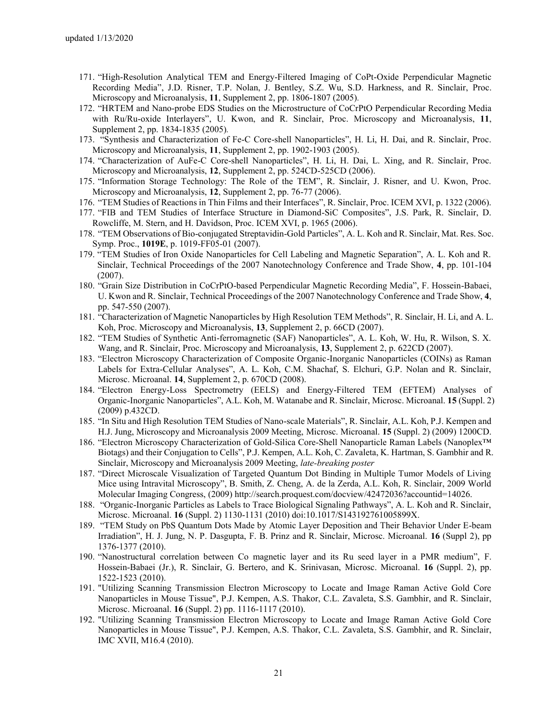- 171. "High-Resolution Analytical TEM and Energy-Filtered Imaging of CoPt-Oxide Perpendicular Magnetic Recording Media", J.D. Risner, T.P. Nolan, J. Bentley, S.Z. Wu, S.D. Harkness, and R. Sinclair, Proc. Microscopy and Microanalysis, **11**, Supplement 2, pp. 1806-1807 (2005)*.*
- 172. "HRTEM and Nano-probe EDS Studies on the Microstructure of CoCrPtO Perpendicular Recording Media with Ru/Ru-oxide Interlayers", U. Kwon, and R. Sinclair, Proc. Microscopy and Microanalysis, **11**, Supplement 2, pp. 1834-1835 (2005)*.*
- 173. "Synthesis and Characterization of Fe-C Core-shell Nanoparticles", H. Li, H. Dai, and R. Sinclair, Proc. Microscopy and Microanalysis, **11**, Supplement 2, pp. 1902-1903 (2005).
- 174. "Characterization of AuFe-C Core-shell Nanoparticles", H. Li, H. Dai, L. Xing, and R. Sinclair, Proc. Microscopy and Microanalysis, **12**, Supplement 2, pp. 524CD-525CD (2006).
- 175. "Information Storage Technology: The Role of the TEM", R. Sinclair, J. Risner, and U. Kwon, Proc. Microscopy and Microanalysis, **12**, Supplement 2, pp. 76-77 (2006).
- 176. "TEM Studies of Reactions in Thin Films and their Interfaces", R. Sinclair, Proc. ICEM XVI, p. 1322 (2006).
- 177. "FIB and TEM Studies of Interface Structure in Diamond-SiC Composites", J.S. Park, R. Sinclair, D. Rowcliffe, M. Stern, and H. Davidson, Proc. ICEM XVI, p. 1965 (2006).
- 178. "TEM Observations of Bio-conjugated Streptavidin-Gold Particles", A. L. Koh and R. Sinclair, Mat. Res. Soc. Symp. Proc., **1019E**, p. 1019-FF05-01 (2007).
- 179. "TEM Studies of Iron Oxide Nanoparticles for Cell Labeling and Magnetic Separation", A. L. Koh and R. Sinclair, Technical Proceedings of the 2007 Nanotechnology Conference and Trade Show, **4**, pp. 101-104 (2007).
- 180. "Grain Size Distribution in CoCrPtO-based Perpendicular Magnetic Recording Media", F. Hossein-Babaei, U. Kwon and R. Sinclair, Technical Proceedings of the 2007 Nanotechnology Conference and Trade Show, **4**, pp. 547-550 (2007).
- 181. "Characterization of Magnetic Nanoparticles by High Resolution TEM Methods", R. Sinclair, H. Li, and A. L. Koh, Proc. Microscopy and Microanalysis, **13**, Supplement 2, p. 66CD (2007).
- 182. "TEM Studies of Synthetic Anti-ferromagnetic (SAF) Nanoparticles", A. L. Koh, W. Hu, R. Wilson, S. X. Wang, and R. Sinclair, Proc. Microscopy and Microanalysis, **13**, Supplement 2, p. 622CD (2007).
- 183. "Electron Microscopy Characterization of Composite Organic-Inorganic Nanoparticles (COINs) as Raman Labels for Extra-Cellular Analyses", A. L. Koh, C.M. Shachaf, S. Elchuri, G.P. Nolan and R. Sinclair, Microsc. Microanal. **14**, Supplement 2, p. 670CD (2008).
- 184. "Electron Energy-Loss Spectrometry (EELS) and Energy-Filtered TEM (EFTEM) Analyses of Organic-Inorganic Nanoparticles", A.L. Koh, M. Watanabe and R. Sinclair, Microsc. Microanal. **15** (Suppl. 2) (2009) p.432CD.
- 185. "In Situ and High Resolution TEM Studies of Nano-scale Materials", R. Sinclair, A.L. Koh, P.J. Kempen and H.J. Jung, Microscopy and Microanalysis 2009 Meeting, Microsc. Microanal. **15** (Suppl. 2) (2009) 1200CD.
- 186. "Electron Microscopy Characterization of Gold-Silica Core-Shell Nanoparticle Raman Labels (Nanoplex™ Biotags) and their Conjugation to Cells", P.J. Kempen, A.L. Koh, C. Zavaleta, K. Hartman, S. Gambhir and R. Sinclair, Microscopy and Microanalysis 2009 Meeting, *late-breaking poster*
- 187. "Direct Microscale Visualization of Targeted Quantum Dot Binding in Multiple Tumor Models of Living Mice using Intravital Microscopy", B. Smith, Z. Cheng, A. de la Zerda, A.L. Koh, R. Sinclair, 2009 World Molecular Imaging Congress, (2009) http://search.proquest.com/docview/42472036?accountid=14026.
- 188. "Organic-Inorganic Particles as Labels to Trace Biological Signaling Pathways", A. L. Koh and R. Sinclair, Microsc. Microanal. **16** (Suppl. 2) 1130-1131 (2010) doi:10.1017/S143192761005899X.
- 189. "TEM Study on PbS Quantum Dots Made by Atomic Layer Deposition and Their Behavior Under E-beam Irradiation", H. J. Jung, N. P. Dasgupta, F. B. Prinz and R. Sinclair, Microsc. Microanal. **16** (Suppl 2), pp 1376-1377 (2010).
- 190. "Nanostructural correlation between Co magnetic layer and its Ru seed layer in a PMR medium", F. Hossein-Babaei (Jr.), R. Sinclair, G. Bertero, and K. Srinivasan, Microsc. Microanal. **16** (Suppl. 2), pp. 1522-1523 (2010).
- 191. "Utilizing Scanning Transmission Electron Microscopy to Locate and Image Raman Active Gold Core Nanoparticles in Mouse Tissue", P.J. Kempen, A.S. Thakor, C.L. Zavaleta, S.S. Gambhir, and R. Sinclair, Microsc. Microanal. **16** (Suppl. 2) pp. 1116-1117 (2010).
- 192. "Utilizing Scanning Transmission Electron Microscopy to Locate and Image Raman Active Gold Core Nanoparticles in Mouse Tissue", P.J. Kempen, A.S. Thakor, C.L. Zavaleta, S.S. Gambhir, and R. Sinclair, IMC XVII, M16.4 (2010).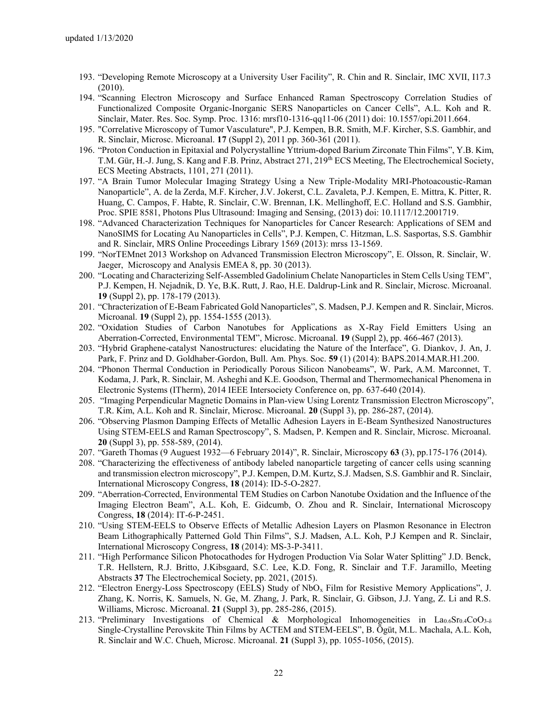- 193. "Developing Remote Microscopy at a University User Facility", R. Chin and R. Sinclair, IMC XVII, I17.3 (2010).
- 194. "Scanning Electron Microscopy and Surface Enhanced Raman Spectroscopy Correlation Studies of Functionalized Composite Organic-Inorganic SERS Nanoparticles on Cancer Cells", A.L. Koh and R. Sinclair, Mater. Res. Soc. Symp. Proc. 1316: mrsf10-1316-qq11-06 (2011) doi: 10.1557/opi.2011.664.
- 195. "Correlative Microscopy of Tumor Vasculature", P.J. Kempen, B.R. Smith, M.F. Kircher, S.S. Gambhir, and R. Sinclair, Microsc. Microanal. **17** (Suppl 2), 2011 pp. 360-361 (2011).
- 196. "Proton Conduction in Epitaxial and Polycrystalline Yttrium-doped Barium Zirconate Thin Films", Y.B. Kim, T.M. Gür, H.-J. Jung, S. Kang and F.B. Prinz, Abstract 271, 219<sup>th</sup> ECS Meeting, The Electrochemical Society, ECS Meeting Abstracts, 1101, 271 (2011).
- 197. "A Brain Tumor Molecular Imaging Strategy Using a New Triple-Modality MRI-Photoacoustic-Raman Nanoparticle", A. de la Zerda, M.F. Kircher, J.V. Jokerst, C.L. Zavaleta, P.J. Kempen, E. Mittra, K. Pitter, R. Huang, C. Campos, F. Habte, R. Sinclair, C.W. Brennan, I.K. Mellinghoff, E.C. Holland and S.S. Gambhir, Proc. SPIE 8581, Photons Plus Ultrasound: Imaging and Sensing, (2013) doi: 10.1117/12.2001719.
- 198. "Advanced Characterization Techniques for Nanoparticles for Cancer Research: Applications of SEM and NanoSIMS for Locating Au Nanoparticles in Cells", P.J. Kempen, C. Hitzman, L.S. Sasportas, S.S. Gambhir and R. Sinclair, MRS Online Proceedings Library 1569 (2013): mrss 13-1569.
- 199. "NorTEMnet 2013 Workshop on Advanced Transmission Electron Microscopy", E. Olsson, R. Sinclair, W. Jaeger, Microscopy and Analysis EMEA 8, pp. 30 (2013).
- 200. "Locating and Characterizing Self-Assembled Gadolinium Chelate Nanoparticles in Stem Cells Using TEM", P.J. Kempen, H. Nejadnik, D. Ye, B.K. Rutt, J. Rao, H.E. Daldrup-Link and R. Sinclair, Microsc. Microanal. **19** (Suppl 2), pp. 178-179 (2013).
- 201. "Chracterization of E-Beam Fabricated Gold Nanoparticles", S. Madsen, P.J. Kempen and R. Sinclair, Micros. Microanal. **19** (Suppl 2), pp. 1554-1555 (2013).
- 202. "Oxidation Studies of Carbon Nanotubes for Applications as X-Ray Field Emitters Using an Aberration-Corrected, Environmental TEM", Microsc. Microanal. **19** (Suppl 2), pp. 466-467 (2013).
- 203. "Hybrid Graphene-catalyst Nanostructures: elucidating the Nature of the Interface", G. Diankov, J. An, J. Park, F. Prinz and D. Goldhaber-Gordon, Bull. Am. Phys. Soc. **59** (1) (2014): BAPS.2014.MAR.H1.200.
- 204. "Phonon Thermal Conduction in Periodically Porous Silicon Nanobeams", W. Park, A.M. Marconnet, T. Kodama, J. Park, R. Sinclair, M. Asheghi and K.E. Goodson, Thermal and Thermomechanical Phenomena in Electronic Systems (ITherm), 2014 IEEE Intersociety Conference on, pp. 637-640 (2014).
- 205. "Imaging Perpendicular Magnetic Domains in Plan-view Using Lorentz Transmission Electron Microscopy", T.R. Kim, A.L. Koh and R. Sinclair, Microsc. Microanal. **20** (Suppl 3), pp. 286-287, (2014).
- 206. "Observing Plasmon Damping Effects of Metallic Adhesion Layers in E-Beam Synthesized Nanostructures Using STEM-EELS and Raman Spectroscopy", S. Madsen, P. Kempen and R. Sinclair, Microsc. Microanal. **20** (Suppl 3), pp. 558-589, (2014).
- 207. "Gareth Thomas (9 Auguest 1932—6 February 2014)", R. Sinclair, Microscopy **63** (3), pp.175-176 (2014).
- 208. "Characterizing the effectiveness of antibody labeled nanoparticle targeting of cancer cells using scanning and transmission electron microscopy", P.J. Kempen, D.M. Kurtz, S.J. Madsen, S.S. Gambhir and R. Sinclair, International Microscopy Congress, **18** (2014): ID-5-O-2827.
- 209. "Aberration-Corrected, Environmental TEM Studies on Carbon Nanotube Oxidation and the Influence of the Imaging Electron Beam", A.L. Koh, E. Gidcumb, O. Zhou and R. Sinclair, International Microscopy Congress, **18** (2014): IT-6-P-2451.
- 210. "Using STEM-EELS to Observe Effects of Metallic Adhesion Layers on Plasmon Resonance in Electron Beam Lithographically Patterned Gold Thin Films", S.J. Madsen, A.L. Koh, P.J Kempen and R. Sinclair, International Microscopy Congress, **18** (2014): MS-3-P-3411.
- 211. "High Performance Silicon Photocathodes for Hydrogen Production Via Solar Water Splitting" J.D. Benck, T.R. Hellstern, R.J. Britto, J.Kibsgaard, S.C. Lee, K.D. Fong, R. Sinclair and T.F. Jaramillo, Meeting Abstracts **37** The Electrochemical Society, pp. 2021, (2015).
- 212. "Electron Energy-Loss Spectroscopy (EELS) Study of NbO<sup>x</sup> Film for Resistive Memory Applications", J. Zhang, K. Norris, K. Samuels, N. Ge, M. Zhang, J. Park, R. Sinclair, G. Gibson, J.J. Yang, Z. Li and R.S. Williams, Microsc. Microanal. **21** (Suppl 3), pp. 285-286, (2015).
- 213. "Preliminary Investigations of Chemical & Morphological Inhomogeneities in  $La<sub>0.6</sub>Sr<sub>0.4</sub>CoO<sub>3-δ</sub>$ Single-Crystalline Perovskite Thin Films by ACTEM and STEM-EELS", B. Ögüt, M.L. Machala, A.L. Koh, R. Sinclair and W.C. Chueh, Microsc. Microanal. **21** (Suppl 3), pp. 1055-1056, (2015).